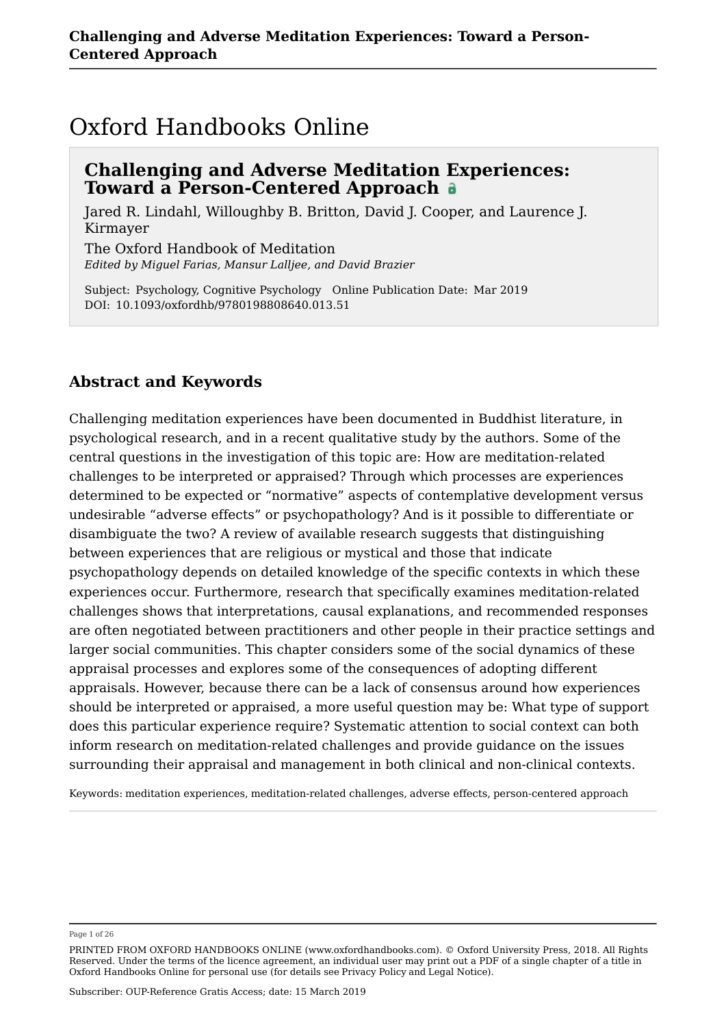## Oxford Handbooks Online

### **Challenging and Adverse Meditation Experiences: Toward a Person-Centered Approach**

Jared R. Lindahl, Willoughby B. Britton, David J. Cooper, and Laurence J. Kirmayer

The Oxford Handbook of Meditation *Edited by Miguel Farias, Mansur Lalljee, and David Brazier*

Subject: Psychology, Cognitive Psychology Online Publication Date: Mar 2019 DOI: 10.1093/oxfordhb/9780198808640.013.51

### **Abstract and Keywords**

Challenging meditation experiences have been documented in Buddhist literature, in psychological research, and in a recent qualitative study by the authors. Some of the central questions in the investigation of this topic are: How are meditation-related challenges to be interpreted or appraised? Through which processes are experiences determined to be expected or "normative" aspects of contemplative development versus undesirable "adverse effects" or psychopathology? And is it possible to differentiate or disambiguate the two? A review of available research suggests that distinguishing between experiences that are religious or mystical and those that indicate psychopathology depends on detailed knowledge of the specific contexts in which these experiences occur. Furthermore, research that specifically examines meditation-related challenges shows that interpretations, causal explanations, and recommended responses are often negotiated between practitioners and other people in their practice settings and larger social communities. This chapter considers some of the social dynamics of these appraisal processes and explores some of the consequences of adopting different appraisals. However, because there can be a lack of consensus around how experiences should be interpreted or appraised, a more useful question may be: What type of support does this particular experience require? Systematic attention to social context can both inform research on meditation-related challenges and provide guidance on the issues surrounding their appraisal and management in both clinical and non-clinical contexts.

Keywords: meditation experiences, meditation-related challenges, adverse effects, person-centered approach

Page 1 of 26

PRINTED FROM OXFORD HANDBOOKS ONLINE (www.oxfordhandbooks.com). © Oxford University Press, 2018. All Rights Reserved. Under the terms of the licence agreement, an individual user may print out a PDF of a single chapter of a title in Oxford Handbooks Online for personal use (for details see Privacy Policy and Legal Notice).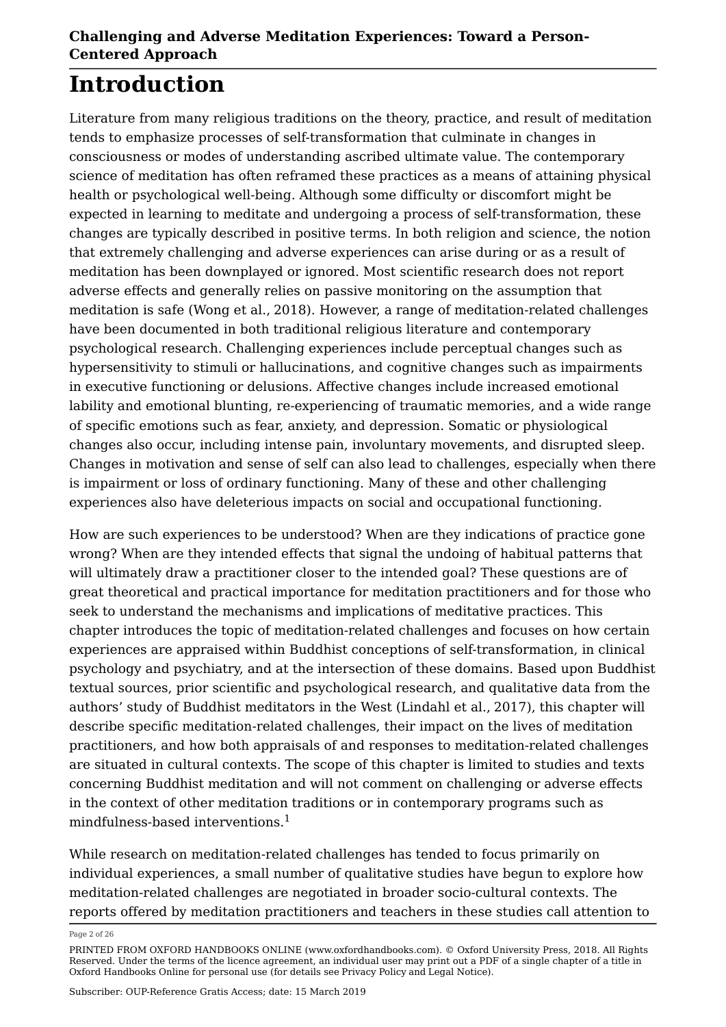# **Introduction**

Literature from many religious traditions on the theory, practice, and result of meditation tends to emphasize processes of self-transformation that culminate in changes in consciousness or modes of understanding ascribed ultimate value. The contemporary science of meditation has often reframed these practices as a means of attaining physical health or psychological well-being. Although some difficulty or discomfort might be expected in learning to meditate and undergoing a process of self-transformation, these changes are typically described in positive terms. In both religion and science, the notion that extremely challenging and adverse experiences can arise during or as a result of meditation has been downplayed or ignored. Most scientific research does not report adverse effects and generally relies on passive monitoring on the assumption that meditation is safe (Wong et al., 2018). However, a range of meditation-related challenges have been documented in both traditional religious literature and contemporary psychological research. Challenging experiences include perceptual changes such as hypersensitivity to stimuli or hallucinations, and cognitive changes such as impairments in executive functioning or delusions. Affective changes include increased emotional lability and emotional blunting, re-experiencing of traumatic memories, and a wide range of specific emotions such as fear, anxiety, and depression. Somatic or physiological changes also occur, including intense pain, involuntary movements, and disrupted sleep. Changes in motivation and sense of self can also lead to challenges, especially when there is impairment or loss of ordinary functioning. Many of these and other challenging experiences also have deleterious impacts on social and occupational functioning.

How are such experiences to be understood? When are they indications of practice gone wrong? When are they intended effects that signal the undoing of habitual patterns that will ultimately draw a practitioner closer to the intended goal? These questions are of great theoretical and practical importance for meditation practitioners and for those who seek to understand the mechanisms and implications of meditative practices. This chapter introduces the topic of meditation-related challenges and focuses on how certain experiences are appraised within Buddhist conceptions of self-transformation, in clinical psychology and psychiatry, and at the intersection of these domains. Based upon Buddhist textual sources, prior scientific and psychological research, and qualitative data from the authors' study of Buddhist meditators in the West (Lindahl et al., 2017), this chapter will describe specific meditation-related challenges, their impact on the lives of meditation practitioners, and how both appraisals of and responses to meditation-related challenges are situated in cultural contexts. The scope of this chapter is limited to studies and texts concerning Buddhist meditation and will not comment on challenging or adverse effects in the context of other meditation traditions or in contemporary programs such as mindfulness-based interventions.<sup>1</sup>

While research on meditation-related challenges has tended to focus primarily on individual experiences, a small number of qualitative studies have begun to explore how meditation-related challenges are negotiated in broader socio-cultural contexts. The reports offered by meditation practitioners and teachers in these studies call attention to

Page 2 of 26

PRINTED FROM OXFORD HANDBOOKS ONLINE (www.oxfordhandbooks.com). © Oxford University Press, 2018. All Rights Reserved. Under the terms of the licence agreement, an individual user may print out a PDF of a single chapter of a title in Oxford Handbooks Online for personal use (for details see Privacy Policy and Legal Notice).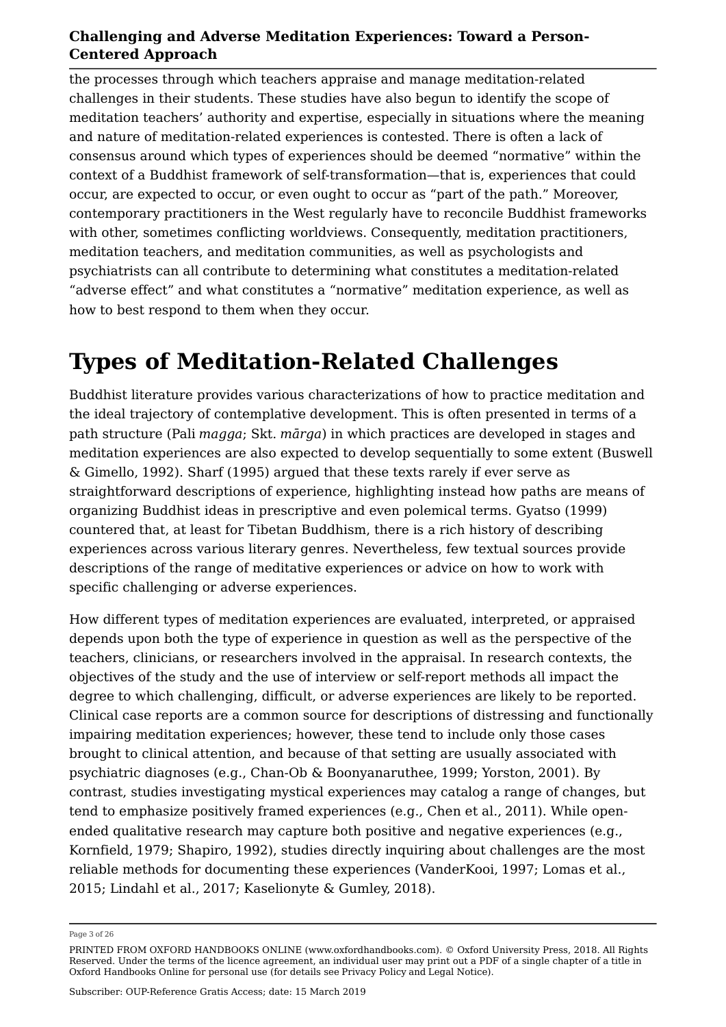the processes through which teachers appraise and manage meditation-related challenges in their students. These studies have also begun to identify the scope of meditation teachers' authority and expertise, especially in situations where the meaning and nature of meditation-related experiences is contested. There is often a lack of consensus around which types of experiences should be deemed "normative" within the context of a Buddhist framework of self-transformation—that is, experiences that could occur, are expected to occur, or even ought to occur as "part of the path." Moreover, contemporary practitioners in the West regularly have to reconcile Buddhist frameworks with other, sometimes conflicting worldviews. Consequently, meditation practitioners, meditation teachers, and meditation communities, as well as psychologists and psychiatrists can all contribute to determining what constitutes a meditation-related "adverse effect" and what constitutes a "normative" meditation experience, as well as how to best respond to them when they occur.

# **Types of Meditation-Related Challenges**

Buddhist literature provides various characterizations of how to practice meditation and the ideal trajectory of contemplative development. This is often presented in terms of a path structure (Pali *magga*; Skt. *mārga*) in which practices are developed in stages and meditation experiences are also expected to develop sequentially to some extent (Buswell & Gimello, 1992). Sharf (1995) argued that these texts rarely if ever serve as straightforward descriptions of experience, highlighting instead how paths are means of organizing Buddhist ideas in prescriptive and even polemical terms. Gyatso (1999) countered that, at least for Tibetan Buddhism, there is a rich history of describing experiences across various literary genres. Nevertheless, few textual sources provide descriptions of the range of meditative experiences or advice on how to work with specific challenging or adverse experiences.

How different types of meditation experiences are evaluated, interpreted, or appraised depends upon both the type of experience in question as well as the perspective of the teachers, clinicians, or researchers involved in the appraisal. In research contexts, the objectives of the study and the use of interview or self-report methods all impact the degree to which challenging, difficult, or adverse experiences are likely to be reported. Clinical case reports are a common source for descriptions of distressing and functionally impairing meditation experiences; however, these tend to include only those cases brought to clinical attention, and because of that setting are usually associated with psychiatric diagnoses (e.g., Chan-Ob & Boonyanaruthee, 1999; Yorston, 2001). By contrast, studies investigating mystical experiences may catalog a range of changes, but tend to emphasize positively framed experiences (e.g., Chen et al., 2011). While openended qualitative research may capture both positive and negative experiences (e.g., Kornfield, 1979; Shapiro, 1992), studies directly inquiring about challenges are the most reliable methods for documenting these experiences (VanderKooi, 1997; Lomas et al., 2015; Lindahl et al., 2017; Kaselionyte & Gumley, 2018).

Page 3 of 26

PRINTED FROM OXFORD HANDBOOKS ONLINE (www.oxfordhandbooks.com). © Oxford University Press, 2018. All Rights Reserved. Under the terms of the licence agreement, an individual user may print out a PDF of a single chapter of a title in Oxford Handbooks Online for personal use (for details see Privacy Policy and Legal Notice).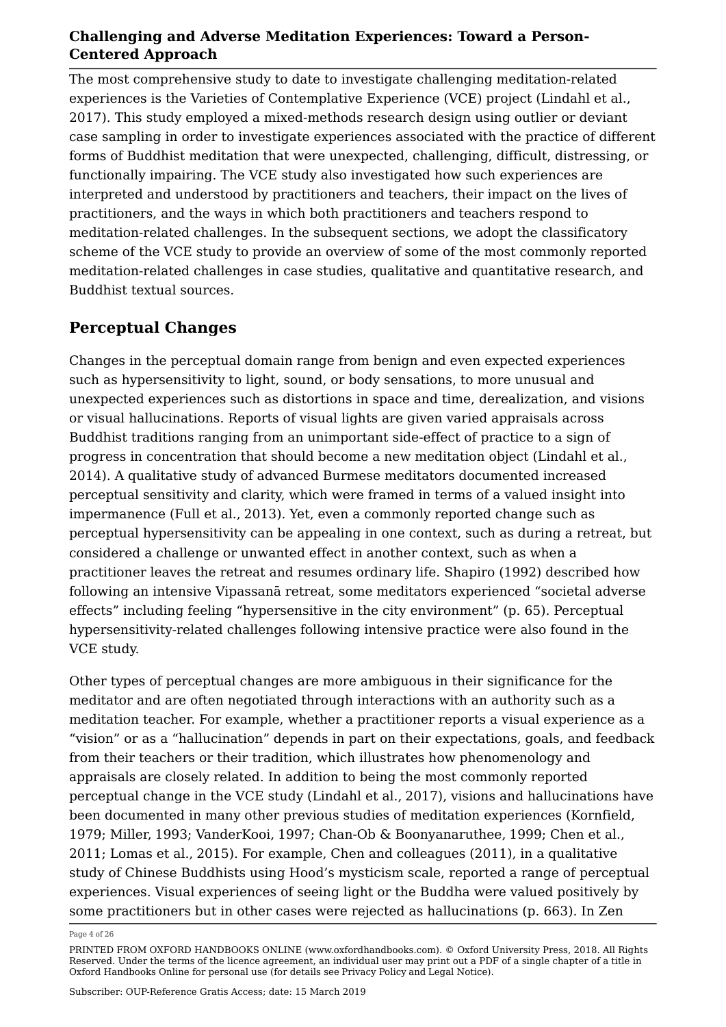The most comprehensive study to date to investigate challenging meditation-related experiences is the Varieties of Contemplative Experience (VCE) project (Lindahl et al., 2017). This study employed a mixed-methods research design using outlier or deviant case sampling in order to investigate experiences associated with the practice of different forms of Buddhist meditation that were unexpected, challenging, difficult, distressing, or functionally impairing. The VCE study also investigated how such experiences are interpreted and understood by practitioners and teachers, their impact on the lives of practitioners, and the ways in which both practitioners and teachers respond to meditation-related challenges. In the subsequent sections, we adopt the classificatory scheme of the VCE study to provide an overview of some of the most commonly reported meditation-related challenges in case studies, qualitative and quantitative research, and Buddhist textual sources.

## **Perceptual Changes**

Changes in the perceptual domain range from benign and even expected experiences such as hypersensitivity to light, sound, or body sensations, to more unusual and unexpected experiences such as distortions in space and time, derealization, and visions or visual hallucinations. Reports of visual lights are given varied appraisals across Buddhist traditions ranging from an unimportant side-effect of practice to a sign of progress in concentration that should become a new meditation object (Lindahl et al., 2014). A qualitative study of advanced Burmese meditators documented increased perceptual sensitivity and clarity, which were framed in terms of a valued insight into impermanence (Full et al., 2013). Yet, even a commonly reported change such as perceptual hypersensitivity can be appealing in one context, such as during a retreat, but considered a challenge or unwanted effect in another context, such as when a practitioner leaves the retreat and resumes ordinary life. Shapiro (1992) described how following an intensive Vipassanā retreat, some meditators experienced "societal adverse effects" including feeling "hypersensitive in the city environment" (p. 65). Perceptual hypersensitivity-related challenges following intensive practice were also found in the VCE study.

Other types of perceptual changes are more ambiguous in their significance for the meditator and are often negotiated through interactions with an authority such as a meditation teacher. For example, whether a practitioner reports a visual experience as a "vision" or as a "hallucination" depends in part on their expectations, goals, and feedback from their teachers or their tradition, which illustrates how phenomenology and appraisals are closely related. In addition to being the most commonly reported perceptual change in the VCE study (Lindahl et al., 2017), visions and hallucinations have been documented in many other previous studies of meditation experiences (Kornfield, 1979; Miller, 1993; VanderKooi, 1997; Chan-Ob & Boonyanaruthee, 1999; Chen et al., 2011; Lomas et al., 2015). For example, Chen and colleagues (2011), in a qualitative study of Chinese Buddhists using Hood's mysticism scale, reported a range of perceptual experiences. Visual experiences of seeing light or the Buddha were valued positively by some practitioners but in other cases were rejected as hallucinations (p. 663). In Zen

Page 4 of 26

PRINTED FROM OXFORD HANDBOOKS ONLINE (www.oxfordhandbooks.com). © Oxford University Press, 2018. All Rights Reserved. Under the terms of the licence agreement, an individual user may print out a PDF of a single chapter of a title in Oxford Handbooks Online for personal use (for details see Privacy Policy and Legal Notice).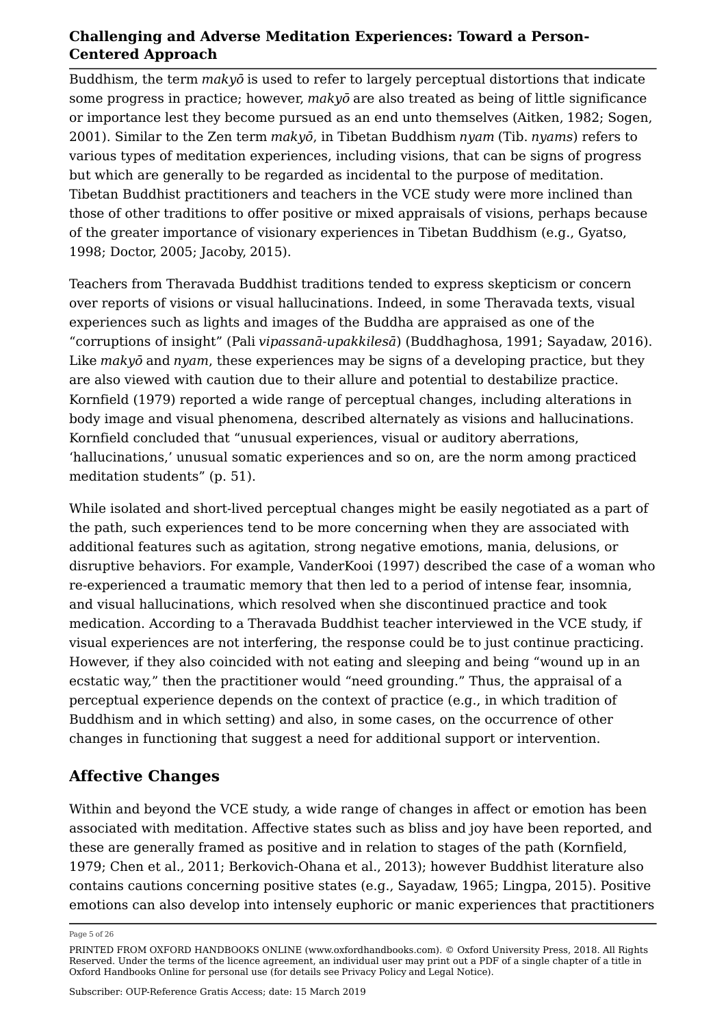Buddhism, the term *makyō* is used to refer to largely perceptual distortions that indicate some progress in practice; however, *makyō* are also treated as being of little significance or importance lest they become pursued as an end unto themselves (Aitken, 1982; Sogen, 2001). Similar to the Zen term *makyō*, in Tibetan Buddhism *nyam* (Tib. *nyams*) refers to various types of meditation experiences, including visions, that can be signs of progress but which are generally to be regarded as incidental to the purpose of meditation. Tibetan Buddhist practitioners and teachers in the VCE study were more inclined than those of other traditions to offer positive or mixed appraisals of visions, perhaps because of the greater importance of visionary experiences in Tibetan Buddhism (e.g., Gyatso, 1998; Doctor, 2005; Jacoby, 2015).

Teachers from Theravada Buddhist traditions tended to express skepticism or concern over reports of visions or visual hallucinations. Indeed, in some Theravada texts, visual experiences such as lights and images of the Buddha are appraised as one of the "corruptions of insight" (Pali *vipassanā-upakkilesā*) (Buddhaghosa, 1991; Sayadaw, 2016). Like *makyō* and *nyam*, these experiences may be signs of a developing practice, but they are also viewed with caution due to their allure and potential to destabilize practice. Kornfield (1979) reported a wide range of perceptual changes, including alterations in body image and visual phenomena, described alternately as visions and hallucinations. Kornfield concluded that "unusual experiences, visual or auditory aberrations, 'hallucinations,' unusual somatic experiences and so on, are the norm among practiced meditation students" (p. 51).

While isolated and short-lived perceptual changes might be easily negotiated as a part of the path, such experiences tend to be more concerning when they are associated with additional features such as agitation, strong negative emotions, mania, delusions, or disruptive behaviors. For example, VanderKooi (1997) described the case of a woman who re-experienced a traumatic memory that then led to a period of intense fear, insomnia, and visual hallucinations, which resolved when she discontinued practice and took medication. According to a Theravada Buddhist teacher interviewed in the VCE study, if visual experiences are not interfering, the response could be to just continue practicing. However, if they also coincided with not eating and sleeping and being "wound up in an ecstatic way," then the practitioner would "need grounding." Thus, the appraisal of a perceptual experience depends on the context of practice (e.g., in which tradition of Buddhism and in which setting) and also, in some cases, on the occurrence of other changes in functioning that suggest a need for additional support or intervention.

## **Affective Changes**

Within and beyond the VCE study, a wide range of changes in affect or emotion has been associated with meditation. Affective states such as bliss and joy have been reported, and these are generally framed as positive and in relation to stages of the path (Kornfield, 1979; Chen et al., 2011; Berkovich-Ohana et al., 2013); however Buddhist literature also contains cautions concerning positive states (e.g., Sayadaw, 1965; Lingpa, 2015). Positive emotions can also develop into intensely euphoric or manic experiences that practitioners

Page 5 of 26

PRINTED FROM OXFORD HANDBOOKS ONLINE (www.oxfordhandbooks.com). © Oxford University Press, 2018. All Rights Reserved. Under the terms of the licence agreement, an individual user may print out a PDF of a single chapter of a title in Oxford Handbooks Online for personal use (for details see Privacy Policy and Legal Notice).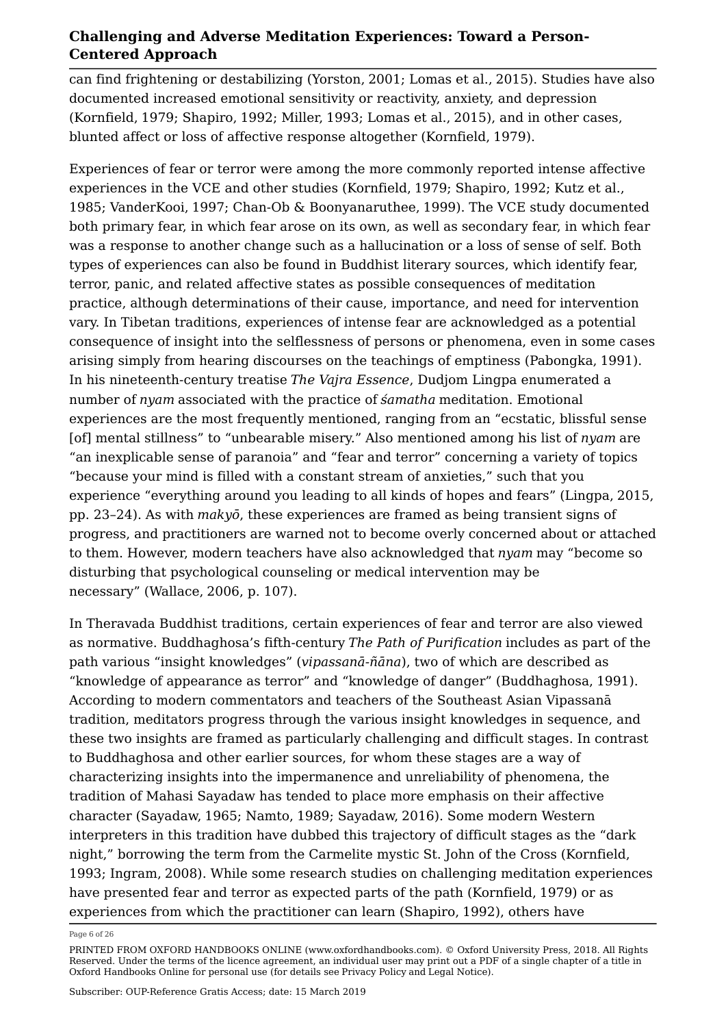can find frightening or destabilizing (Yorston, 2001; Lomas et al., 2015). Studies have also documented increased emotional sensitivity or reactivity, anxiety, and depression (Kornfield, 1979; Shapiro, 1992; Miller, 1993; Lomas et al., 2015), and in other cases, blunted affect or loss of affective response altogether (Kornfield, 1979).

Experiences of fear or terror were among the more commonly reported intense affective experiences in the VCE and other studies (Kornfield, 1979; Shapiro, 1992; Kutz et al., 1985; VanderKooi, 1997; Chan-Ob & Boonyanaruthee, 1999). The VCE study documented both primary fear, in which fear arose on its own, as well as secondary fear, in which fear was a response to another change such as a hallucination or a loss of sense of self. Both types of experiences can also be found in Buddhist literary sources, which identify fear, terror, panic, and related affective states as possible consequences of meditation practice, although determinations of their cause, importance, and need for intervention vary. In Tibetan traditions, experiences of intense fear are acknowledged as a potential consequence of insight into the selflessness of persons or phenomena, even in some cases arising simply from hearing discourses on the teachings of emptiness (Pabongka, 1991). In his nineteenth-century treatise *The Vajra Essence*, Dudjom Lingpa enumerated a number of *nyam* associated with the practice of *śamatha* meditation. Emotional experiences are the most frequently mentioned, ranging from an "ecstatic, blissful sense [of] mental stillness" to "unbearable misery." Also mentioned among his list of *nyam* are "an inexplicable sense of paranoia" and "fear and terror" concerning a variety of topics "because your mind is filled with a constant stream of anxieties," such that you experience "everything around you leading to all kinds of hopes and fears" (Lingpa, 2015, pp. 23–24). As with *makyō*, these experiences are framed as being transient signs of progress, and practitioners are warned not to become overly concerned about or attached to them. However, modern teachers have also acknowledged that *nyam* may "become so disturbing that psychological counseling or medical intervention may be necessary" (Wallace, 2006, p. 107).

In Theravada Buddhist traditions, certain experiences of fear and terror are also viewed as normative. Buddhaghosa's fifth-century *The Path of Purification* includes as part of the path various "insight knowledges" (*vipassanā-ñāna*), two of which are described as "knowledge of appearance as terror" and "knowledge of danger" (Buddhaghosa, 1991). According to modern commentators and teachers of the Southeast Asian Vipassanā tradition, meditators progress through the various insight knowledges in sequence, and these two insights are framed as particularly challenging and difficult stages. In contrast to Buddhaghosa and other earlier sources, for whom these stages are a way of characterizing insights into the impermanence and unreliability of phenomena, the tradition of Mahasi Sayadaw has tended to place more emphasis on their affective character (Sayadaw, 1965; Namto, 1989; Sayadaw, 2016). Some modern Western interpreters in this tradition have dubbed this trajectory of difficult stages as the "dark night," borrowing the term from the Carmelite mystic St. John of the Cross (Kornfield, 1993; Ingram, 2008). While some research studies on challenging meditation experiences have presented fear and terror as expected parts of the path (Kornfield, 1979) or as experiences from which the practitioner can learn (Shapiro, 1992), others have

Page 6 of 26

PRINTED FROM OXFORD HANDBOOKS ONLINE (www.oxfordhandbooks.com). © Oxford University Press, 2018. All Rights Reserved. Under the terms of the licence agreement, an individual user may print out a PDF of a single chapter of a title in Oxford Handbooks Online for personal use (for details see Privacy Policy and Legal Notice).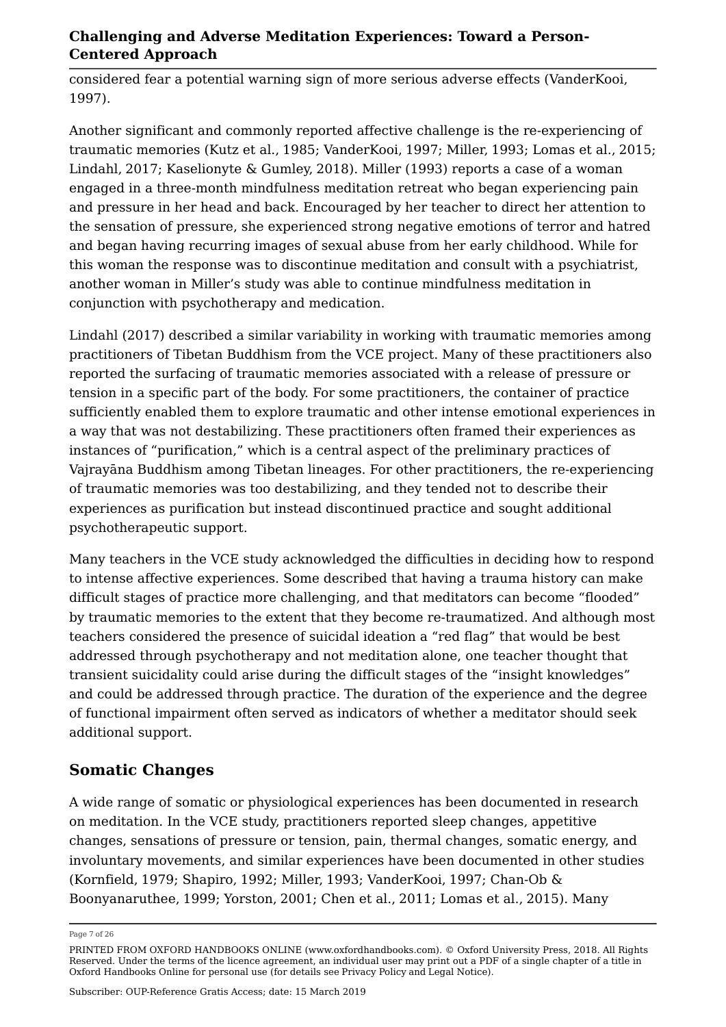considered fear a potential warning sign of more serious adverse effects (VanderKooi, 1997).

Another significant and commonly reported affective challenge is the re-experiencing of traumatic memories (Kutz et al., 1985; VanderKooi, 1997; Miller, 1993; Lomas et al., 2015; Lindahl, 2017; Kaselionyte & Gumley, 2018). Miller (1993) reports a case of a woman engaged in a three-month mindfulness meditation retreat who began experiencing pain and pressure in her head and back. Encouraged by her teacher to direct her attention to the sensation of pressure, she experienced strong negative emotions of terror and hatred and began having recurring images of sexual abuse from her early childhood. While for this woman the response was to discontinue meditation and consult with a psychiatrist, another woman in Miller's study was able to continue mindfulness meditation in conjunction with psychotherapy and medication.

Lindahl (2017) described a similar variability in working with traumatic memories among practitioners of Tibetan Buddhism from the VCE project. Many of these practitioners also reported the surfacing of traumatic memories associated with a release of pressure or tension in a specific part of the body. For some practitioners, the container of practice sufficiently enabled them to explore traumatic and other intense emotional experiences in a way that was not destabilizing. These practitioners often framed their experiences as instances of "purification," which is a central aspect of the preliminary practices of Vajrayāna Buddhism among Tibetan lineages. For other practitioners, the re-experiencing of traumatic memories was too destabilizing, and they tended not to describe their experiences as purification but instead discontinued practice and sought additional psychotherapeutic support.

Many teachers in the VCE study acknowledged the difficulties in deciding how to respond to intense affective experiences. Some described that having a trauma history can make difficult stages of practice more challenging, and that meditators can become "flooded" by traumatic memories to the extent that they become re-traumatized. And although most teachers considered the presence of suicidal ideation a "red flag" that would be best addressed through psychotherapy and not meditation alone, one teacher thought that transient suicidality could arise during the difficult stages of the "insight knowledges" and could be addressed through practice. The duration of the experience and the degree of functional impairment often served as indicators of whether a meditator should seek additional support.

### **Somatic Changes**

A wide range of somatic or physiological experiences has been documented in research on meditation. In the VCE study, practitioners reported sleep changes, appetitive changes, sensations of pressure or tension, pain, thermal changes, somatic energy, and involuntary movements, and similar experiences have been documented in other studies (Kornfield, 1979; Shapiro, 1992; Miller, 1993; VanderKooi, 1997; Chan-Ob & Boonyanaruthee, 1999; Yorston, 2001; Chen et al., 2011; Lomas et al., 2015). Many

Page 7 of 26

PRINTED FROM OXFORD HANDBOOKS ONLINE (www.oxfordhandbooks.com). © Oxford University Press, 2018. All Rights Reserved. Under the terms of the licence agreement, an individual user may print out a PDF of a single chapter of a title in Oxford Handbooks Online for personal use (for details see Privacy Policy and Legal Notice).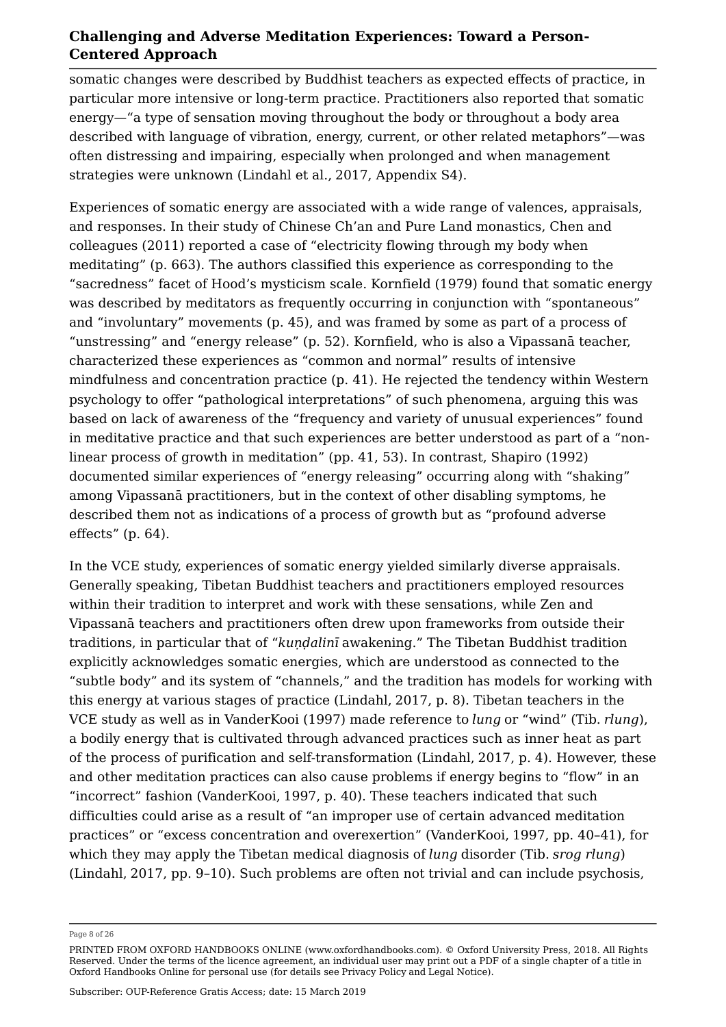somatic changes were described by Buddhist teachers as expected effects of practice, in particular more intensive or long-term practice. Practitioners also reported that somatic energy—"a type of sensation moving throughout the body or throughout a body area described with language of vibration, energy, current, or other related metaphors"—was often distressing and impairing, especially when prolonged and when management strategies were unknown (Lindahl et al., 2017, Appendix S4).

Experiences of somatic energy are associated with a wide range of valences, appraisals, and responses. In their study of Chinese Ch'an and Pure Land monastics, Chen and colleagues (2011) reported a case of "electricity flowing through my body when meditating" (p. 663). The authors classified this experience as corresponding to the "sacredness" facet of Hood's mysticism scale. Kornfield (1979) found that somatic energy was described by meditators as frequently occurring in conjunction with "spontaneous" and "involuntary" movements (p. 45), and was framed by some as part of a process of "unstressing" and "energy release" (p. 52). Kornfield, who is also a Vipassanā teacher, characterized these experiences as "common and normal" results of intensive mindfulness and concentration practice (p. 41). He rejected the tendency within Western psychology to offer "pathological interpretations" of such phenomena, arguing this was based on lack of awareness of the "frequency and variety of unusual experiences" found in meditative practice and that such experiences are better understood as part of a "nonlinear process of growth in meditation" (pp. 41, 53). In contrast, Shapiro (1992) documented similar experiences of "energy releasing" occurring along with "shaking" among Vipassanā practitioners, but in the context of other disabling symptoms, he described them not as indications of a process of growth but as "profound adverse effects" (p. 64).

In the VCE study, experiences of somatic energy yielded similarly diverse appraisals. Generally speaking, Tibetan Buddhist teachers and practitioners employed resources within their tradition to interpret and work with these sensations, while Zen and Vipassanā teachers and practitioners often drew upon frameworks from outside their traditions, in particular that of "*kuṇḍalinī* awakening." The Tibetan Buddhist tradition explicitly acknowledges somatic energies, which are understood as connected to the "subtle body" and its system of "channels," and the tradition has models for working with this energy at various stages of practice (Lindahl, 2017, p. 8). Tibetan teachers in the VCE study as well as in VanderKooi (1997) made reference to *lung* or "wind" (Tib. *rlung*), a bodily energy that is cultivated through advanced practices such as inner heat as part of the process of purification and self-transformation (Lindahl, 2017, p. 4). However, these and other meditation practices can also cause problems if energy begins to "flow" in an "incorrect" fashion (VanderKooi, 1997, p. 40). These teachers indicated that such difficulties could arise as a result of "an improper use of certain advanced meditation practices" or "excess concentration and overexertion" (VanderKooi, 1997, pp. 40–41), for which they may apply the Tibetan medical diagnosis of *lung* disorder (Tib. *srog rlung*) (Lindahl, 2017, pp. 9–10). Such problems are often not trivial and can include psychosis,

Page 8 of 26

PRINTED FROM OXFORD HANDBOOKS ONLINE (www.oxfordhandbooks.com). © Oxford University Press, 2018. All Rights Reserved. Under the terms of the licence agreement, an individual user may print out a PDF of a single chapter of a title in Oxford Handbooks Online for personal use (for details see Privacy Policy and Legal Notice).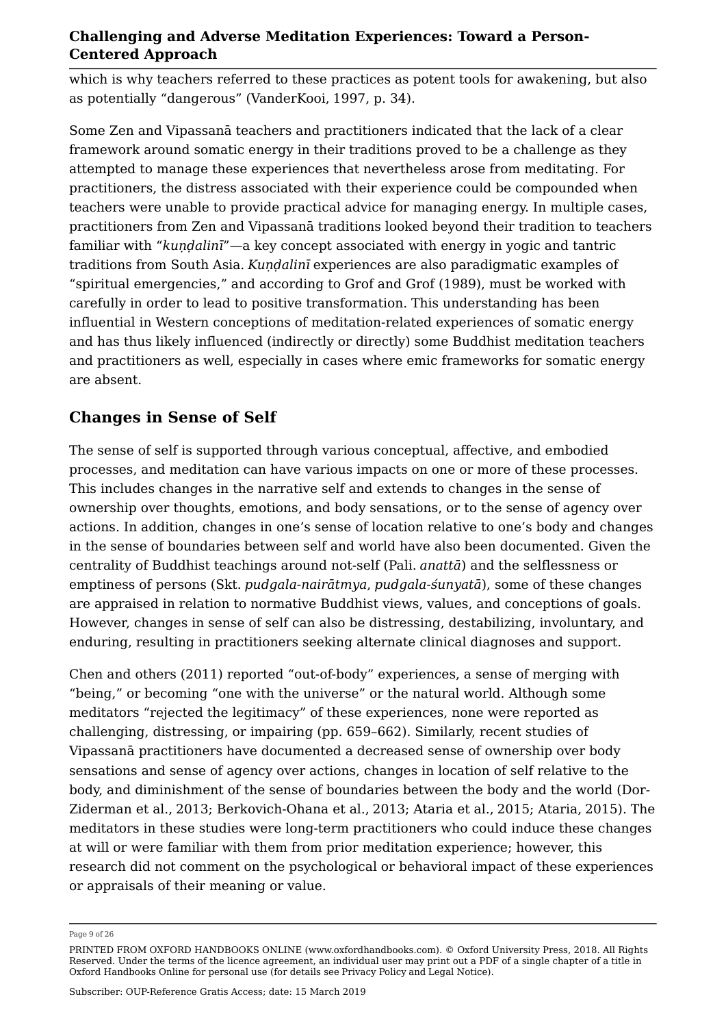which is why teachers referred to these practices as potent tools for awakening, but also as potentially "dangerous" (VanderKooi, 1997, p. 34).

Some Zen and Vipassanā teachers and practitioners indicated that the lack of a clear framework around somatic energy in their traditions proved to be a challenge as they attempted to manage these experiences that nevertheless arose from meditating. For practitioners, the distress associated with their experience could be compounded when teachers were unable to provide practical advice for managing energy. In multiple cases, practitioners from Zen and Vipassanā traditions looked beyond their tradition to teachers familiar with "*kuṇḍalinī*"—a key concept associated with energy in yogic and tantric traditions from South Asia. *Kuṇḍalinī* experiences are also paradigmatic examples of "spiritual emergencies," and according to Grof and Grof (1989), must be worked with carefully in order to lead to positive transformation. This understanding has been influential in Western conceptions of meditation-related experiences of somatic energy and has thus likely influenced (indirectly or directly) some Buddhist meditation teachers and practitioners as well, especially in cases where emic frameworks for somatic energy are absent.

## **Changes in Sense of Self**

The sense of self is supported through various conceptual, affective, and embodied processes, and meditation can have various impacts on one or more of these processes. This includes changes in the narrative self and extends to changes in the sense of ownership over thoughts, emotions, and body sensations, or to the sense of agency over actions. In addition, changes in one's sense of location relative to one's body and changes in the sense of boundaries between self and world have also been documented. Given the centrality of Buddhist teachings around not-self (Pali. *anattā*) and the selflessness or emptiness of persons (Skt. *pudgala-nairātmya*, *pudgala-śunyatā*), some of these changes are appraised in relation to normative Buddhist views, values, and conceptions of goals. However, changes in sense of self can also be distressing, destabilizing, involuntary, and enduring, resulting in practitioners seeking alternate clinical diagnoses and support.

Chen and others (2011) reported "out-of-body" experiences, a sense of merging with "being," or becoming "one with the universe" or the natural world. Although some meditators "rejected the legitimacy" of these experiences, none were reported as challenging, distressing, or impairing (pp. 659–662). Similarly, recent studies of Vipassanā practitioners have documented a decreased sense of ownership over body sensations and sense of agency over actions, changes in location of self relative to the body, and diminishment of the sense of boundaries between the body and the world (Dor-Ziderman et al., 2013; Berkovich-Ohana et al., 2013; Ataria et al., 2015; Ataria, 2015). The meditators in these studies were long-term practitioners who could induce these changes at will or were familiar with them from prior meditation experience; however, this research did not comment on the psychological or behavioral impact of these experiences or appraisals of their meaning or value.

Page 9 of 26

PRINTED FROM OXFORD HANDBOOKS ONLINE (www.oxfordhandbooks.com). © Oxford University Press, 2018. All Rights Reserved. Under the terms of the licence agreement, an individual user may print out a PDF of a single chapter of a title in Oxford Handbooks Online for personal use (for details see Privacy Policy and Legal Notice).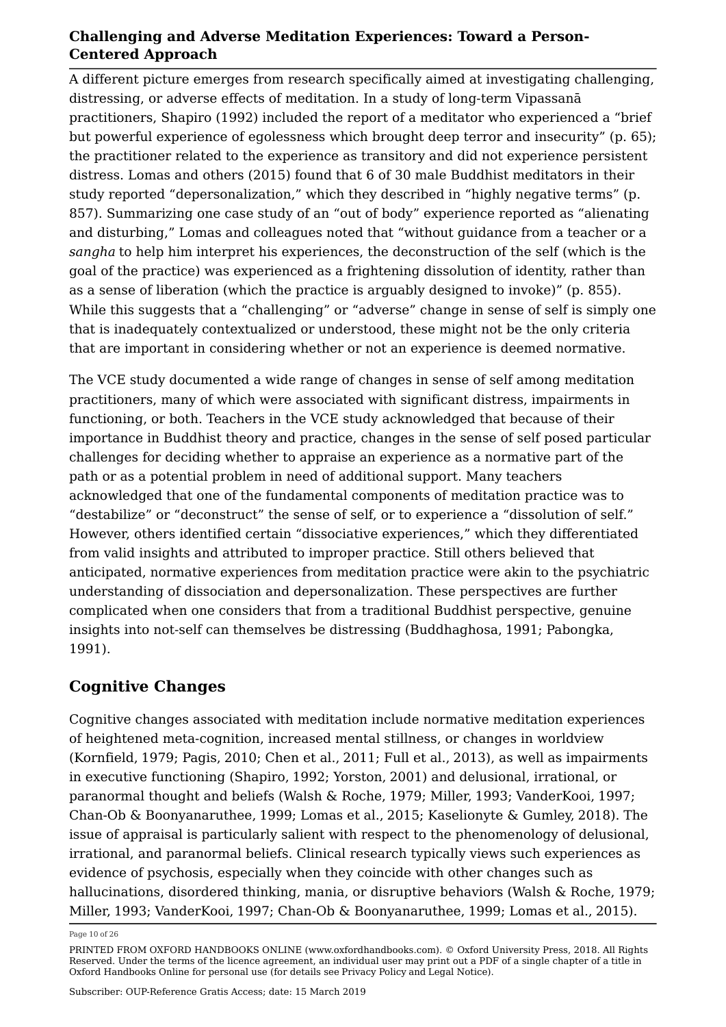A different picture emerges from research specifically aimed at investigating challenging, distressing, or adverse effects of meditation. In a study of long-term Vipassanā practitioners, Shapiro (1992) included the report of a meditator who experienced a "brief but powerful experience of egolessness which brought deep terror and insecurity" (p. 65); the practitioner related to the experience as transitory and did not experience persistent distress. Lomas and others (2015) found that 6 of 30 male Buddhist meditators in their study reported "depersonalization," which they described in "highly negative terms" (p. 857). Summarizing one case study of an "out of body" experience reported as "alienating and disturbing," Lomas and colleagues noted that "without guidance from a teacher or a *sangha* to help him interpret his experiences, the deconstruction of the self (which is the goal of the practice) was experienced as a frightening dissolution of identity, rather than as a sense of liberation (which the practice is arguably designed to invoke)" (p. 855). While this suggests that a "challenging" or "adverse" change in sense of self is simply one that is inadequately contextualized or understood, these might not be the only criteria that are important in considering whether or not an experience is deemed normative.

The VCE study documented a wide range of changes in sense of self among meditation practitioners, many of which were associated with significant distress, impairments in functioning, or both. Teachers in the VCE study acknowledged that because of their importance in Buddhist theory and practice, changes in the sense of self posed particular challenges for deciding whether to appraise an experience as a normative part of the path or as a potential problem in need of additional support. Many teachers acknowledged that one of the fundamental components of meditation practice was to "destabilize" or "deconstruct" the sense of self, or to experience a "dissolution of self." However, others identified certain "dissociative experiences," which they differentiated from valid insights and attributed to improper practice. Still others believed that anticipated, normative experiences from meditation practice were akin to the psychiatric understanding of dissociation and depersonalization. These perspectives are further complicated when one considers that from a traditional Buddhist perspective, genuine insights into not-self can themselves be distressing (Buddhaghosa, 1991; Pabongka, 1991).

## **Cognitive Changes**

Cognitive changes associated with meditation include normative meditation experiences of heightened meta-cognition, increased mental stillness, or changes in worldview (Kornfield, 1979; Pagis, 2010; Chen et al., 2011; Full et al., 2013), as well as impairments in executive functioning (Shapiro, 1992; Yorston, 2001) and delusional, irrational, or paranormal thought and beliefs (Walsh & Roche, 1979; Miller, 1993; VanderKooi, 1997; Chan-Ob & Boonyanaruthee, 1999; Lomas et al., 2015; Kaselionyte & Gumley, 2018). The issue of appraisal is particularly salient with respect to the phenomenology of delusional, irrational, and paranormal beliefs. Clinical research typically views such experiences as evidence of psychosis, especially when they coincide with other changes such as hallucinations, disordered thinking, mania, or disruptive behaviors (Walsh & Roche, 1979; Miller, 1993; VanderKooi, 1997; Chan-Ob & Boonyanaruthee, 1999; Lomas et al., 2015).

Page 10 of 26

PRINTED FROM OXFORD HANDBOOKS ONLINE (www.oxfordhandbooks.com). © Oxford University Press, 2018. All Rights Reserved. Under the terms of the licence agreement, an individual user may print out a PDF of a single chapter of a title in Oxford Handbooks Online for personal use (for details see Privacy Policy and Legal Notice).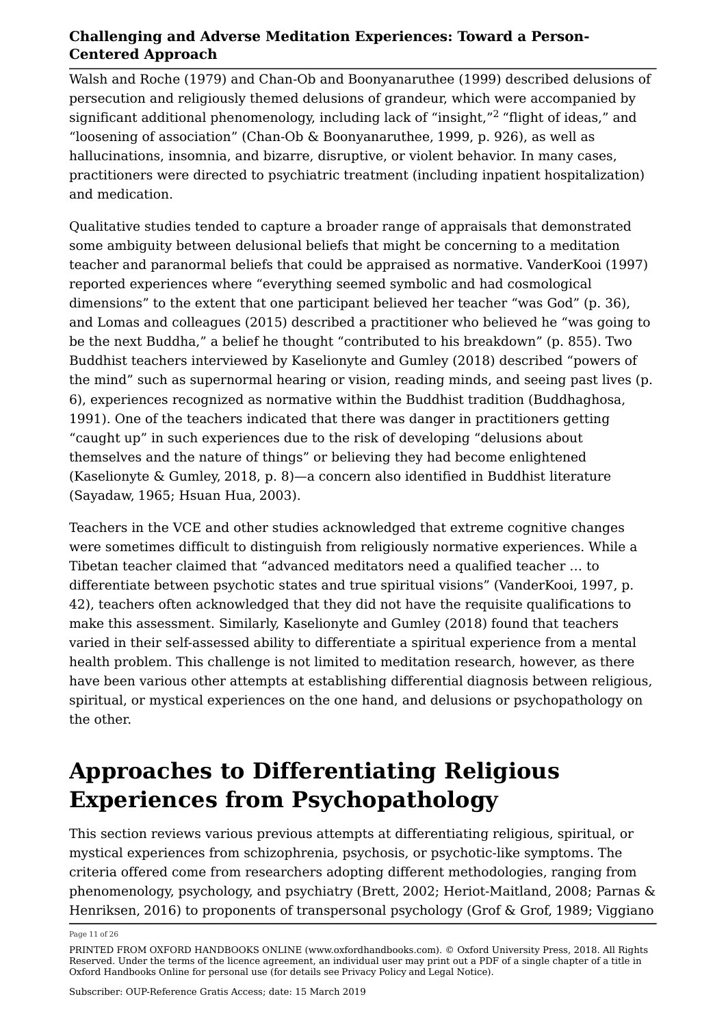Walsh and Roche (1979) and Chan-Ob and Boonyanaruthee (1999) described delusions of persecution and religiously themed delusions of grandeur, which were accompanied by significant additional phenomenology, including lack of "insight,"<sup>2</sup> "flight of ideas," and "loosening of association" (Chan-Ob & Boonyanaruthee, 1999, p. 926), as well as hallucinations, insomnia, and bizarre, disruptive, or violent behavior. In many cases, practitioners were directed to psychiatric treatment (including inpatient hospitalization) and medication.

Qualitative studies tended to capture a broader range of appraisals that demonstrated some ambiguity between delusional beliefs that might be concerning to a meditation teacher and paranormal beliefs that could be appraised as normative. VanderKooi (1997) reported experiences where "everything seemed symbolic and had cosmological dimensions" to the extent that one participant believed her teacher "was God" (p. 36), and Lomas and colleagues (2015) described a practitioner who believed he "was going to be the next Buddha," a belief he thought "contributed to his breakdown" (p. 855). Two Buddhist teachers interviewed by Kaselionyte and Gumley (2018) described "powers of the mind" such as supernormal hearing or vision, reading minds, and seeing past lives (p. 6), experiences recognized as normative within the Buddhist tradition (Buddhaghosa, 1991). One of the teachers indicated that there was danger in practitioners getting "caught up" in such experiences due to the risk of developing "delusions about themselves and the nature of things" or believing they had become enlightened (Kaselionyte & Gumley, 2018, p. 8)—a concern also identified in Buddhist literature (Sayadaw, 1965; Hsuan Hua, 2003).

Teachers in the VCE and other studies acknowledged that extreme cognitive changes were sometimes difficult to distinguish from religiously normative experiences. While a Tibetan teacher claimed that "advanced meditators need a qualified teacher … to differentiate between psychotic states and true spiritual visions" (VanderKooi, 1997, p. 42), teachers often acknowledged that they did not have the requisite qualifications to make this assessment. Similarly, Kaselionyte and Gumley (2018) found that teachers varied in their self-assessed ability to differentiate a spiritual experience from a mental health problem. This challenge is not limited to meditation research, however, as there have been various other attempts at establishing differential diagnosis between religious, spiritual, or mystical experiences on the one hand, and delusions or psychopathology on the other.

# **Approaches to Differentiating Religious Experiences from Psychopathology**

This section reviews various previous attempts at differentiating religious, spiritual, or mystical experiences from schizophrenia, psychosis, or psychotic-like symptoms. The criteria offered come from researchers adopting different methodologies, ranging from phenomenology, psychology, and psychiatry (Brett, 2002; Heriot-Maitland, 2008; Parnas & Henriksen, 2016) to proponents of transpersonal psychology (Grof & Grof, 1989; Viggiano

Page 11 of 26

PRINTED FROM OXFORD HANDBOOKS ONLINE (www.oxfordhandbooks.com). © Oxford University Press, 2018. All Rights Reserved. Under the terms of the licence agreement, an individual user may print out a PDF of a single chapter of a title in Oxford Handbooks Online for personal use (for details see Privacy Policy and Legal Notice).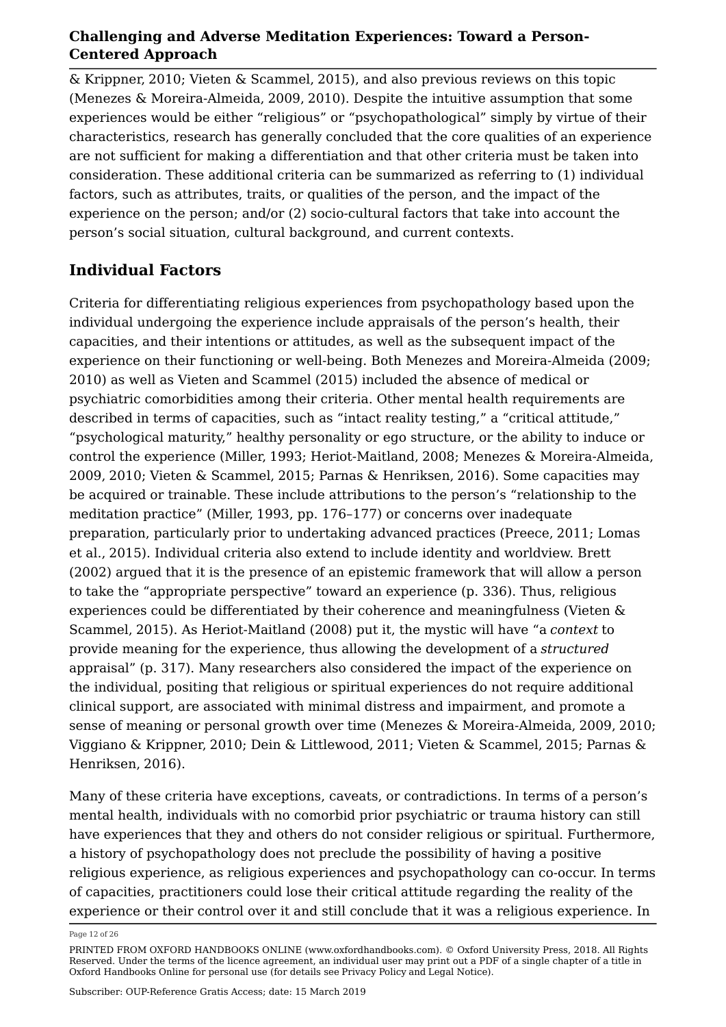& Krippner, 2010; Vieten & Scammel, 2015), and also previous reviews on this topic (Menezes & Moreira-Almeida, 2009, 2010). Despite the intuitive assumption that some experiences would be either "religious" or "psychopathological" simply by virtue of their characteristics, research has generally concluded that the core qualities of an experience are not sufficient for making a differentiation and that other criteria must be taken into consideration. These additional criteria can be summarized as referring to (1) individual factors, such as attributes, traits, or qualities of the person, and the impact of the experience on the person; and/or (2) socio-cultural factors that take into account the person's social situation, cultural background, and current contexts.

## **Individual Factors**

Criteria for differentiating religious experiences from psychopathology based upon the individual undergoing the experience include appraisals of the person's health, their capacities, and their intentions or attitudes, as well as the subsequent impact of the experience on their functioning or well-being. Both Menezes and Moreira-Almeida (2009; 2010) as well as Vieten and Scammel (2015) included the absence of medical or psychiatric comorbidities among their criteria. Other mental health requirements are described in terms of capacities, such as "intact reality testing," a "critical attitude," "psychological maturity," healthy personality or ego structure, or the ability to induce or control the experience (Miller, 1993; Heriot-Maitland, 2008; Menezes & Moreira-Almeida, 2009, 2010; Vieten & Scammel, 2015; Parnas & Henriksen, 2016). Some capacities may be acquired or trainable. These include attributions to the person's "relationship to the meditation practice" (Miller, 1993, pp. 176–177) or concerns over inadequate preparation, particularly prior to undertaking advanced practices (Preece, 2011; Lomas et al., 2015). Individual criteria also extend to include identity and worldview. Brett (2002) argued that it is the presence of an epistemic framework that will allow a person to take the "appropriate perspective" toward an experience (p. 336). Thus, religious experiences could be differentiated by their coherence and meaningfulness (Vieten & Scammel, 2015). As Heriot-Maitland (2008) put it, the mystic will have "a *context* to provide meaning for the experience, thus allowing the development of a *structured* appraisal" (p. 317). Many researchers also considered the impact of the experience on the individual, positing that religious or spiritual experiences do not require additional clinical support, are associated with minimal distress and impairment, and promote a sense of meaning or personal growth over time (Menezes & Moreira-Almeida, 2009, 2010; Viggiano & Krippner, 2010; Dein & Littlewood, 2011; Vieten & Scammel, 2015; Parnas & Henriksen, 2016).

Many of these criteria have exceptions, caveats, or contradictions. In terms of a person's mental health, individuals with no comorbid prior psychiatric or trauma history can still have experiences that they and others do not consider religious or spiritual. Furthermore, a history of psychopathology does not preclude the possibility of having a positive religious experience, as religious experiences and psychopathology can co-occur. In terms of capacities, practitioners could lose their critical attitude regarding the reality of the experience or their control over it and still conclude that it was a religious experience. In

Page 12 of 26

PRINTED FROM OXFORD HANDBOOKS ONLINE (www.oxfordhandbooks.com). © Oxford University Press, 2018. All Rights Reserved. Under the terms of the licence agreement, an individual user may print out a PDF of a single chapter of a title in Oxford Handbooks Online for personal use (for details see Privacy Policy and Legal Notice).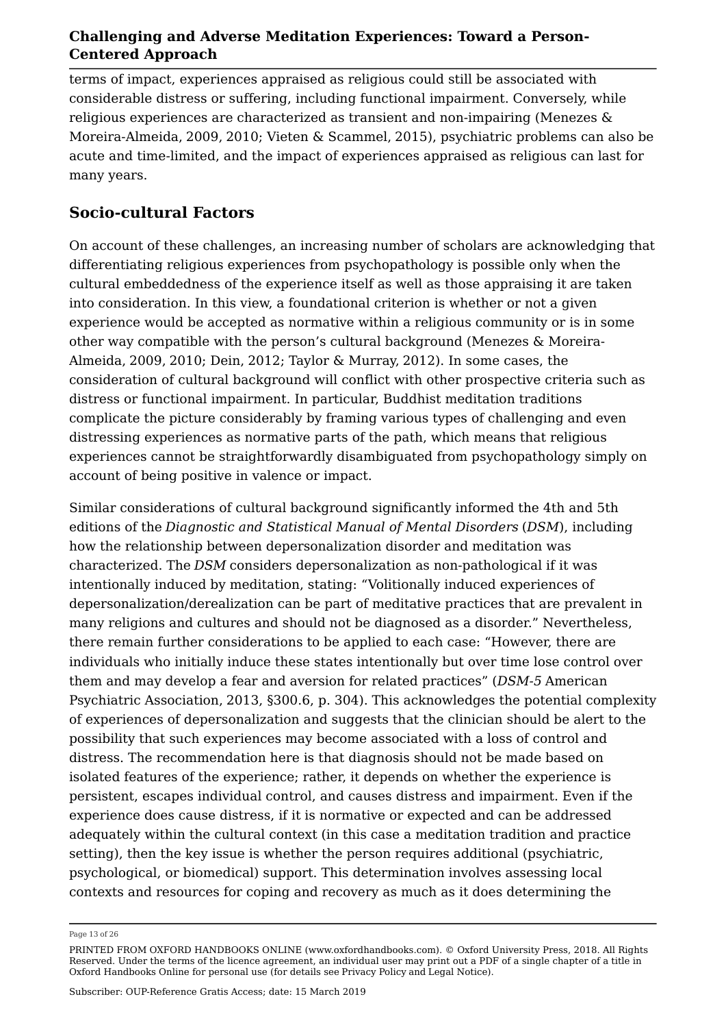terms of impact, experiences appraised as religious could still be associated with considerable distress or suffering, including functional impairment. Conversely, while religious experiences are characterized as transient and non-impairing (Menezes & Moreira-Almeida, 2009, 2010; Vieten & Scammel, 2015), psychiatric problems can also be acute and time-limited, and the impact of experiences appraised as religious can last for many years.

## **Socio-cultural Factors**

On account of these challenges, an increasing number of scholars are acknowledging that differentiating religious experiences from psychopathology is possible only when the cultural embeddedness of the experience itself as well as those appraising it are taken into consideration. In this view, a foundational criterion is whether or not a given experience would be accepted as normative within a religious community or is in some other way compatible with the person's cultural background (Menezes & Moreira-Almeida, 2009, 2010; Dein, 2012; Taylor & Murray, 2012). In some cases, the consideration of cultural background will conflict with other prospective criteria such as distress or functional impairment. In particular, Buddhist meditation traditions complicate the picture considerably by framing various types of challenging and even distressing experiences as normative parts of the path, which means that religious experiences cannot be straightforwardly disambiguated from psychopathology simply on account of being positive in valence or impact.

Similar considerations of cultural background significantly informed the 4th and 5th editions of the *Diagnostic and Statistical Manual of Mental Disorders* (*DSM*), including how the relationship between depersonalization disorder and meditation was characterized. The *DSM* considers depersonalization as non-pathological if it was intentionally induced by meditation, stating: "Volitionally induced experiences of depersonalization/derealization can be part of meditative practices that are prevalent in many religions and cultures and should not be diagnosed as a disorder." Nevertheless, there remain further considerations to be applied to each case: "However, there are individuals who initially induce these states intentionally but over time lose control over them and may develop a fear and aversion for related practices" (*DSM-5* American Psychiatric Association, 2013, §300.6, p. 304). This acknowledges the potential complexity of experiences of depersonalization and suggests that the clinician should be alert to the possibility that such experiences may become associated with a loss of control and distress. The recommendation here is that diagnosis should not be made based on isolated features of the experience; rather, it depends on whether the experience is persistent, escapes individual control, and causes distress and impairment. Even if the experience does cause distress, if it is normative or expected and can be addressed adequately within the cultural context (in this case a meditation tradition and practice setting), then the key issue is whether the person requires additional (psychiatric, psychological, or biomedical) support. This determination involves assessing local contexts and resources for coping and recovery as much as it does determining the

Page 13 of 26

PRINTED FROM OXFORD HANDBOOKS ONLINE (www.oxfordhandbooks.com). © Oxford University Press, 2018. All Rights Reserved. Under the terms of the licence agreement, an individual user may print out a PDF of a single chapter of a title in Oxford Handbooks Online for personal use (for details see Privacy Policy and Legal Notice).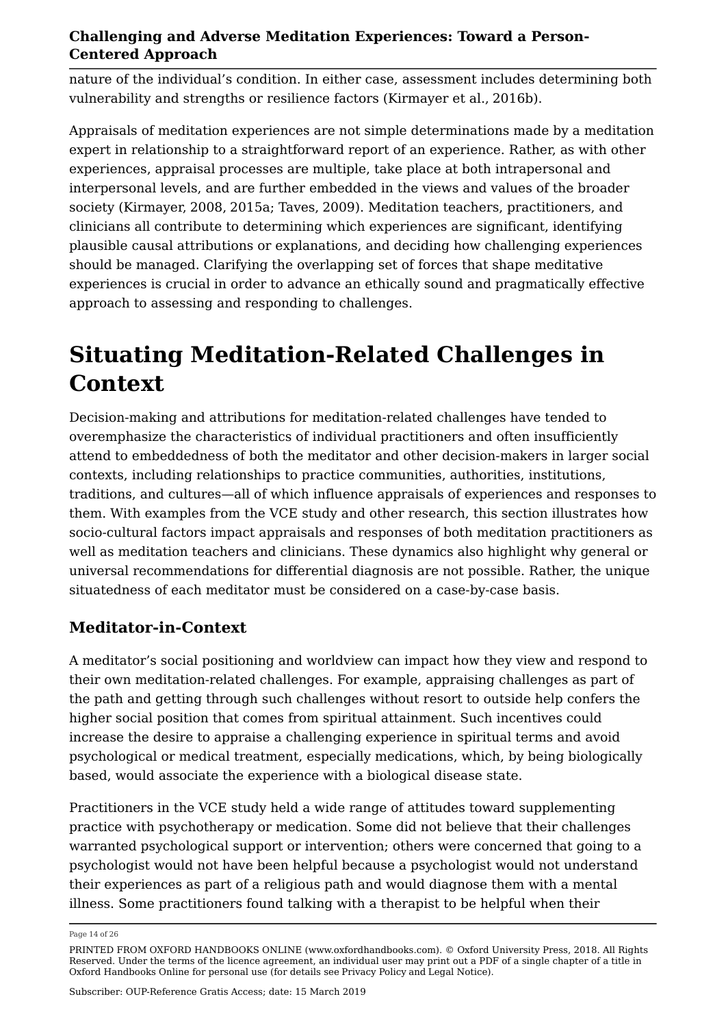nature of the individual's condition. In either case, assessment includes determining both vulnerability and strengths or resilience factors (Kirmayer et al., 2016b).

Appraisals of meditation experiences are not simple determinations made by a meditation expert in relationship to a straightforward report of an experience. Rather, as with other experiences, appraisal processes are multiple, take place at both intrapersonal and interpersonal levels, and are further embedded in the views and values of the broader society (Kirmayer, 2008, 2015a; Taves, 2009). Meditation teachers, practitioners, and clinicians all contribute to determining which experiences are significant, identifying plausible causal attributions or explanations, and deciding how challenging experiences should be managed. Clarifying the overlapping set of forces that shape meditative experiences is crucial in order to advance an ethically sound and pragmatically effective approach to assessing and responding to challenges.

# **Situating Meditation-Related Challenges in Context**

Decision-making and attributions for meditation-related challenges have tended to overemphasize the characteristics of individual practitioners and often insufficiently attend to embeddedness of both the meditator and other decision-makers in larger social contexts, including relationships to practice communities, authorities, institutions, traditions, and cultures—all of which influence appraisals of experiences and responses to them. With examples from the VCE study and other research, this section illustrates how socio-cultural factors impact appraisals and responses of both meditation practitioners as well as meditation teachers and clinicians. These dynamics also highlight why general or universal recommendations for differential diagnosis are not possible. Rather, the unique situatedness of each meditator must be considered on a case-by-case basis.

## **Meditator-in-Context**

A meditator's social positioning and worldview can impact how they view and respond to their own meditation-related challenges. For example, appraising challenges as part of the path and getting through such challenges without resort to outside help confers the higher social position that comes from spiritual attainment. Such incentives could increase the desire to appraise a challenging experience in spiritual terms and avoid psychological or medical treatment, especially medications, which, by being biologically based, would associate the experience with a biological disease state.

Practitioners in the VCE study held a wide range of attitudes toward supplementing practice with psychotherapy or medication. Some did not believe that their challenges warranted psychological support or intervention; others were concerned that going to a psychologist would not have been helpful because a psychologist would not understand their experiences as part of a religious path and would diagnose them with a mental illness. Some practitioners found talking with a therapist to be helpful when their

Page 14 of 26

PRINTED FROM OXFORD HANDBOOKS ONLINE (www.oxfordhandbooks.com). © Oxford University Press, 2018. All Rights Reserved. Under the terms of the licence agreement, an individual user may print out a PDF of a single chapter of a title in Oxford Handbooks Online for personal use (for details see Privacy Policy and Legal Notice).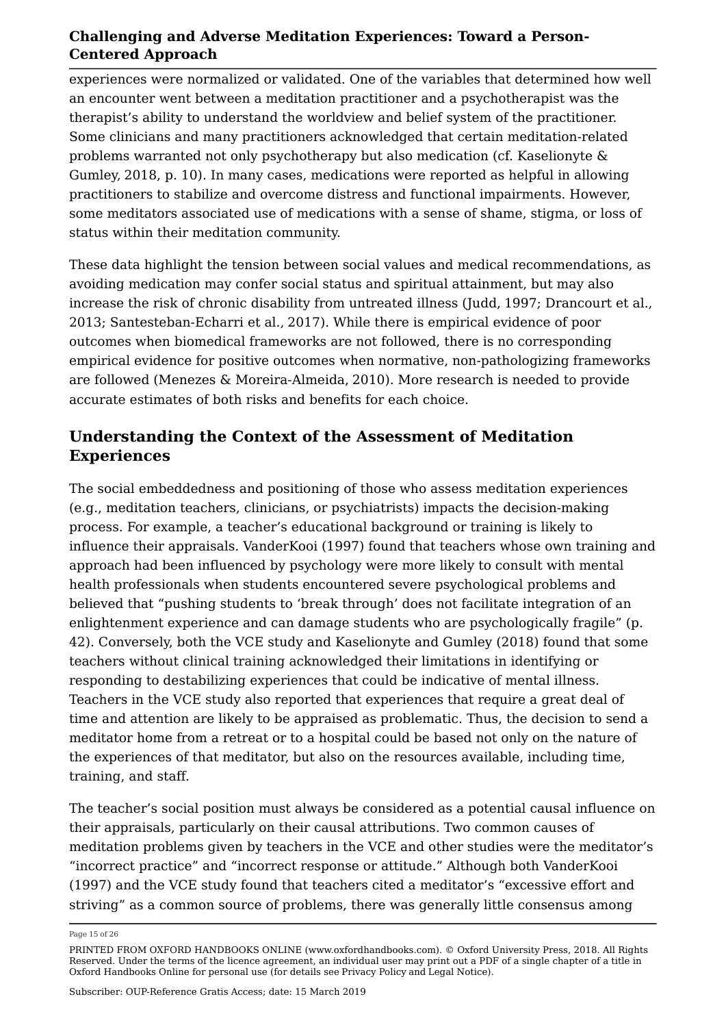experiences were normalized or validated. One of the variables that determined how well an encounter went between a meditation practitioner and a psychotherapist was the therapist's ability to understand the worldview and belief system of the practitioner. Some clinicians and many practitioners acknowledged that certain meditation-related problems warranted not only psychotherapy but also medication (cf. Kaselionyte & Gumley, 2018, p. 10). In many cases, medications were reported as helpful in allowing practitioners to stabilize and overcome distress and functional impairments. However, some meditators associated use of medications with a sense of shame, stigma, or loss of status within their meditation community.

These data highlight the tension between social values and medical recommendations, as avoiding medication may confer social status and spiritual attainment, but may also increase the risk of chronic disability from untreated illness (Judd, 1997; Drancourt et al., 2013; Santesteban-Echarri et al., 2017). While there is empirical evidence of poor outcomes when biomedical frameworks are not followed, there is no corresponding empirical evidence for positive outcomes when normative, non-pathologizing frameworks are followed (Menezes & Moreira-Almeida, 2010). More research is needed to provide accurate estimates of both risks and benefits for each choice.

## **Understanding the Context of the Assessment of Meditation Experiences**

The social embeddedness and positioning of those who assess meditation experiences (e.g., meditation teachers, clinicians, or psychiatrists) impacts the decision-making process. For example, a teacher's educational background or training is likely to influence their appraisals. VanderKooi (1997) found that teachers whose own training and approach had been influenced by psychology were more likely to consult with mental health professionals when students encountered severe psychological problems and believed that "pushing students to 'break through' does not facilitate integration of an enlightenment experience and can damage students who are psychologically fragile" (p. 42). Conversely, both the VCE study and Kaselionyte and Gumley (2018) found that some teachers without clinical training acknowledged their limitations in identifying or responding to destabilizing experiences that could be indicative of mental illness. Teachers in the VCE study also reported that experiences that require a great deal of time and attention are likely to be appraised as problematic. Thus, the decision to send a meditator home from a retreat or to a hospital could be based not only on the nature of the experiences of that meditator, but also on the resources available, including time, training, and staff.

The teacher's social position must always be considered as a potential causal influence on their appraisals, particularly on their causal attributions. Two common causes of meditation problems given by teachers in the VCE and other studies were the meditator's "incorrect practice" and "incorrect response or attitude." Although both VanderKooi (1997) and the VCE study found that teachers cited a meditator's "excessive effort and striving" as a common source of problems, there was generally little consensus among

Page 15 of 26

PRINTED FROM OXFORD HANDBOOKS ONLINE (www.oxfordhandbooks.com). © Oxford University Press, 2018. All Rights Reserved. Under the terms of the licence agreement, an individual user may print out a PDF of a single chapter of a title in Oxford Handbooks Online for personal use (for details see Privacy Policy and Legal Notice).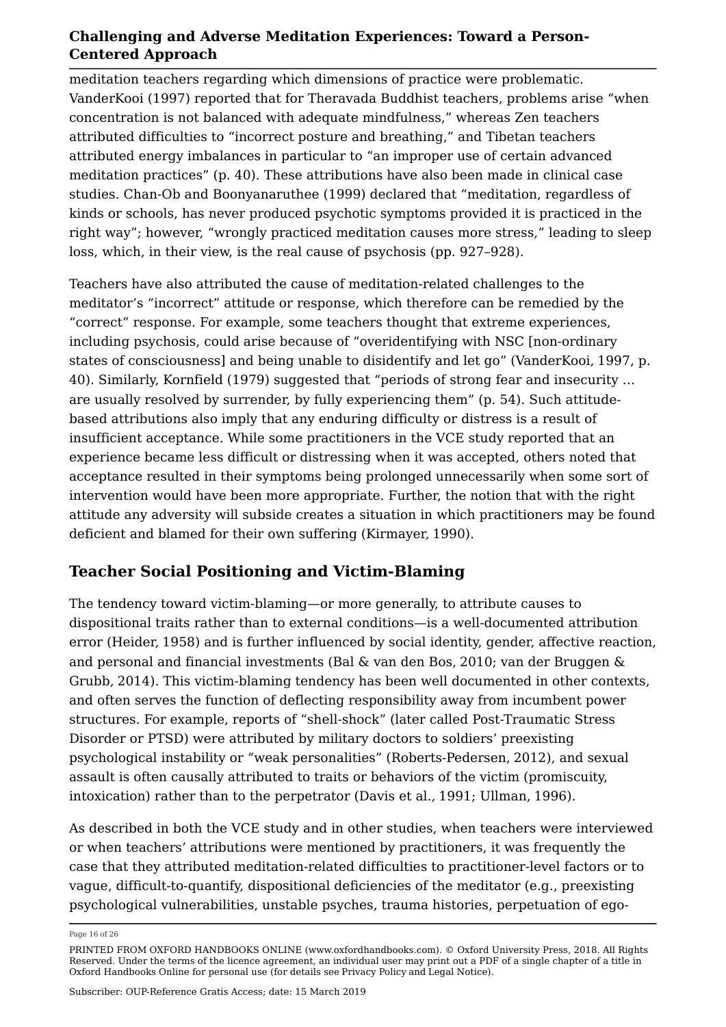meditation teachers regarding which dimensions of practice were problematic. VanderKooi (1997) reported that for Theravada Buddhist teachers, problems arise "when concentration is not balanced with adequate mindfulness," whereas Zen teachers attributed difficulties to "incorrect posture and breathing," and Tibetan teachers attributed energy imbalances in particular to "an improper use of certain advanced meditation practices" (p. 40). These attributions have also been made in clinical case studies. Chan-Ob and Boonyanaruthee (1999) declared that "meditation, regardless of kinds or schools, has never produced psychotic symptoms provided it is practiced in the right way"; however, "wrongly practiced meditation causes more stress," leading to sleep loss, which, in their view, is the real cause of psychosis (pp. 927–928).

Teachers have also attributed the cause of meditation-related challenges to the meditator's "incorrect" attitude or response, which therefore can be remedied by the "correct" response. For example, some teachers thought that extreme experiences, including psychosis, could arise because of "overidentifying with NSC [non-ordinary states of consciousness] and being unable to disidentify and let go" (VanderKooi, 1997, p. 40). Similarly, Kornfield (1979) suggested that "periods of strong fear and insecurity … are usually resolved by surrender, by fully experiencing them" (p. 54). Such attitudebased attributions also imply that any enduring difficulty or distress is a result of insufficient acceptance. While some practitioners in the VCE study reported that an experience became less difficult or distressing when it was accepted, others noted that acceptance resulted in their symptoms being prolonged unnecessarily when some sort of intervention would have been more appropriate. Further, the notion that with the right attitude any adversity will subside creates a situation in which practitioners may be found deficient and blamed for their own suffering (Kirmayer, 1990).

## **Teacher Social Positioning and Victim-Blaming**

The tendency toward victim-blaming—or more generally, to attribute causes to dispositional traits rather than to external conditions—is a well-documented attribution error (Heider, 1958) and is further influenced by social identity, gender, affective reaction, and personal and financial investments (Bal & van den Bos, 2010; van der Bruggen & Grubb, 2014). This victim-blaming tendency has been well documented in other contexts, and often serves the function of deflecting responsibility away from incumbent power structures. For example, reports of "shell-shock" (later called Post-Traumatic Stress Disorder or PTSD) were attributed by military doctors to soldiers' preexisting psychological instability or "weak personalities" (Roberts-Pedersen, 2012), and sexual assault is often causally attributed to traits or behaviors of the victim (promiscuity, intoxication) rather than to the perpetrator (Davis et al., 1991; Ullman, 1996).

As described in both the VCE study and in other studies, when teachers were interviewed or when teachers' attributions were mentioned by practitioners, it was frequently the case that they attributed meditation-related difficulties to practitioner-level factors or to vague, difficult-to-quantify, dispositional deficiencies of the meditator (e.g., preexisting psychological vulnerabilities, unstable psyches, trauma histories, perpetuation of ego-

Page 16 of 26

PRINTED FROM OXFORD HANDBOOKS ONLINE (www.oxfordhandbooks.com). © Oxford University Press, 2018. All Rights Reserved. Under the terms of the licence agreement, an individual user may print out a PDF of a single chapter of a title in Oxford Handbooks Online for personal use (for details see Privacy Policy and Legal Notice).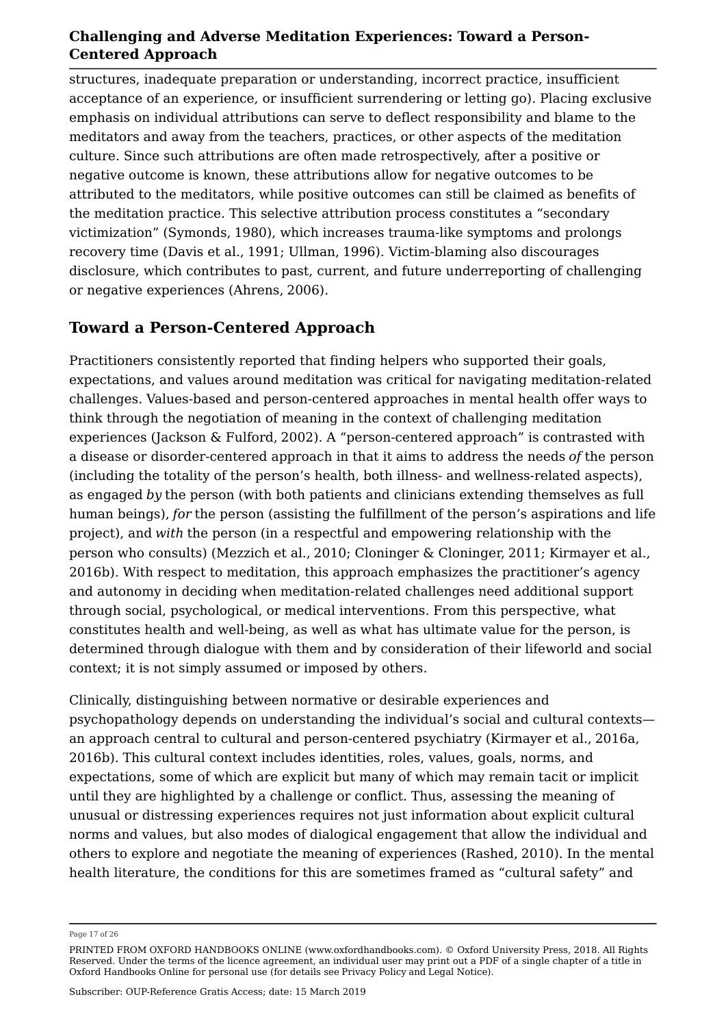structures, inadequate preparation or understanding, incorrect practice, insufficient acceptance of an experience, or insufficient surrendering or letting go). Placing exclusive emphasis on individual attributions can serve to deflect responsibility and blame to the meditators and away from the teachers, practices, or other aspects of the meditation culture. Since such attributions are often made retrospectively, after a positive or negative outcome is known, these attributions allow for negative outcomes to be attributed to the meditators, while positive outcomes can still be claimed as benefits of the meditation practice. This selective attribution process constitutes a "secondary victimization" (Symonds, 1980), which increases trauma-like symptoms and prolongs recovery time (Davis et al., 1991; Ullman, 1996). Victim-blaming also discourages disclosure, which contributes to past, current, and future underreporting of challenging or negative experiences (Ahrens, 2006).

## **Toward a Person-Centered Approach**

Practitioners consistently reported that finding helpers who supported their goals, expectations, and values around meditation was critical for navigating meditation-related challenges. Values-based and person-centered approaches in mental health offer ways to think through the negotiation of meaning in the context of challenging meditation experiences (Jackson & Fulford, 2002). A "person-centered approach" is contrasted with a disease or disorder-centered approach in that it aims to address the needs *of* the person (including the totality of the person's health, both illness- and wellness-related aspects), as engaged *by* the person (with both patients and clinicians extending themselves as full human beings), *for* the person (assisting the fulfillment of the person's aspirations and life project), and *with* the person (in a respectful and empowering relationship with the person who consults) (Mezzich et al., 2010; Cloninger & Cloninger, 2011; Kirmayer et al., 2016b). With respect to meditation, this approach emphasizes the practitioner's agency and autonomy in deciding when meditation-related challenges need additional support through social, psychological, or medical interventions. From this perspective, what constitutes health and well-being, as well as what has ultimate value for the person, is determined through dialogue with them and by consideration of their lifeworld and social context; it is not simply assumed or imposed by others.

Clinically, distinguishing between normative or desirable experiences and psychopathology depends on understanding the individual's social and cultural contexts an approach central to cultural and person-centered psychiatry (Kirmayer et al., 2016a, 2016b). This cultural context includes identities, roles, values, goals, norms, and expectations, some of which are explicit but many of which may remain tacit or implicit until they are highlighted by a challenge or conflict. Thus, assessing the meaning of unusual or distressing experiences requires not just information about explicit cultural norms and values, but also modes of dialogical engagement that allow the individual and others to explore and negotiate the meaning of experiences (Rashed, 2010). In the mental health literature, the conditions for this are sometimes framed as "cultural safety" and

Page 17 of 26

PRINTED FROM OXFORD HANDBOOKS ONLINE (www.oxfordhandbooks.com). © Oxford University Press, 2018. All Rights Reserved. Under the terms of the licence agreement, an individual user may print out a PDF of a single chapter of a title in Oxford Handbooks Online for personal use (for details see Privacy Policy and Legal Notice).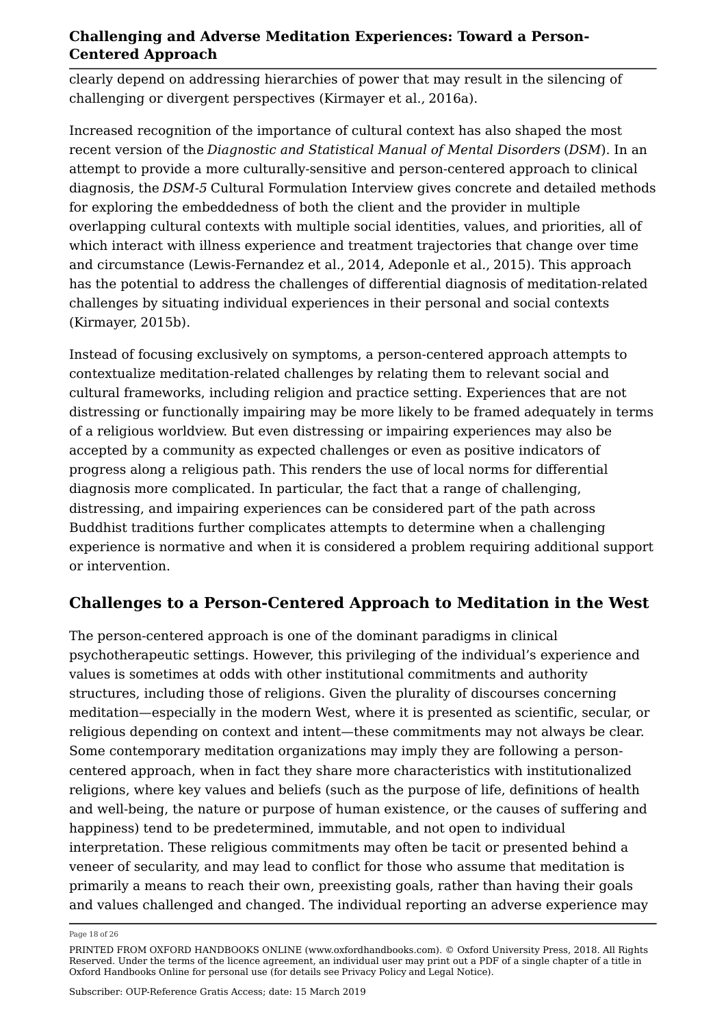clearly depend on addressing hierarchies of power that may result in the silencing of challenging or divergent perspectives (Kirmayer et al., 2016a).

Increased recognition of the importance of cultural context has also shaped the most recent version of the *Diagnostic and Statistical Manual of Mental Disorders* (*DSM*). In an attempt to provide a more culturally-sensitive and person-centered approach to clinical diagnosis, the *DSM-5* Cultural Formulation Interview gives concrete and detailed methods for exploring the embeddedness of both the client and the provider in multiple overlapping cultural contexts with multiple social identities, values, and priorities, all of which interact with illness experience and treatment trajectories that change over time and circumstance (Lewis-Fernandez et al., 2014, Adeponle et al., 2015). This approach has the potential to address the challenges of differential diagnosis of meditation-related challenges by situating individual experiences in their personal and social contexts (Kirmayer, 2015b).

Instead of focusing exclusively on symptoms, a person-centered approach attempts to contextualize meditation-related challenges by relating them to relevant social and cultural frameworks, including religion and practice setting. Experiences that are not distressing or functionally impairing may be more likely to be framed adequately in terms of a religious worldview. But even distressing or impairing experiences may also be accepted by a community as expected challenges or even as positive indicators of progress along a religious path. This renders the use of local norms for differential diagnosis more complicated. In particular, the fact that a range of challenging, distressing, and impairing experiences can be considered part of the path across Buddhist traditions further complicates attempts to determine when a challenging experience is normative and when it is considered a problem requiring additional support or intervention.

## **Challenges to a Person-Centered Approach to Meditation in the West**

The person-centered approach is one of the dominant paradigms in clinical psychotherapeutic settings. However, this privileging of the individual's experience and values is sometimes at odds with other institutional commitments and authority structures, including those of religions. Given the plurality of discourses concerning meditation—especially in the modern West, where it is presented as scientific, secular, or religious depending on context and intent—these commitments may not always be clear. Some contemporary meditation organizations may imply they are following a personcentered approach, when in fact they share more characteristics with institutionalized religions, where key values and beliefs (such as the purpose of life, definitions of health and well-being, the nature or purpose of human existence, or the causes of suffering and happiness) tend to be predetermined, immutable, and not open to individual interpretation. These religious commitments may often be tacit or presented behind a veneer of secularity, and may lead to conflict for those who assume that meditation is primarily a means to reach their own, preexisting goals, rather than having their goals and values challenged and changed. The individual reporting an adverse experience may

Page 18 of 26

PRINTED FROM OXFORD HANDBOOKS ONLINE (www.oxfordhandbooks.com). © Oxford University Press, 2018. All Rights Reserved. Under the terms of the licence agreement, an individual user may print out a PDF of a single chapter of a title in Oxford Handbooks Online for personal use (for details see Privacy Policy and Legal Notice).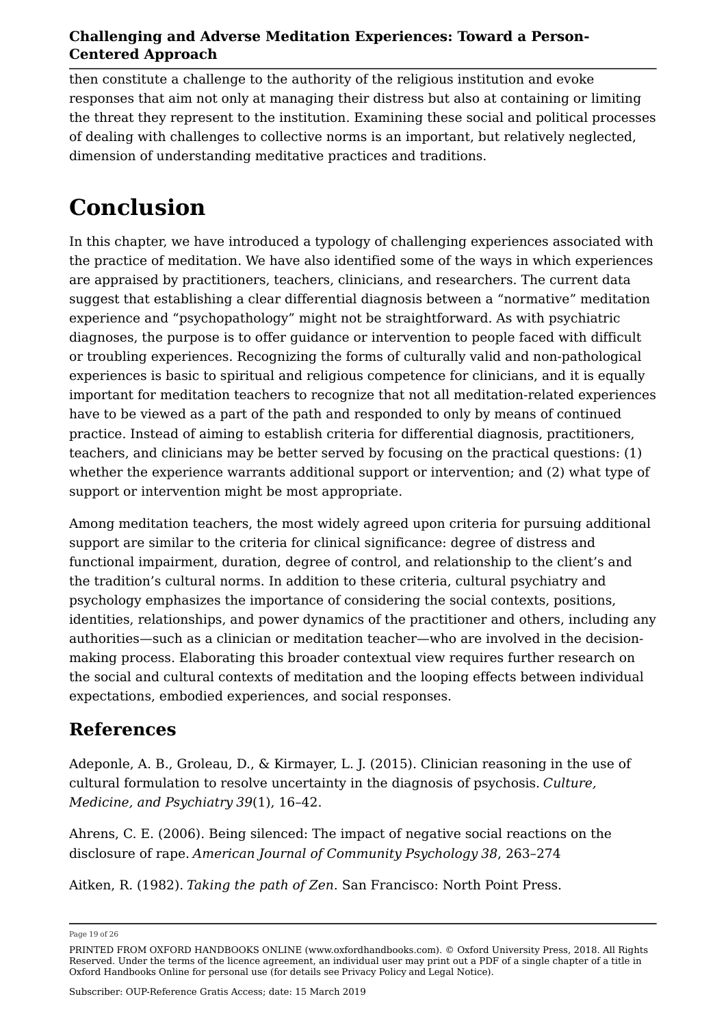then constitute a challenge to the authority of the religious institution and evoke responses that aim not only at managing their distress but also at containing or limiting the threat they represent to the institution. Examining these social and political processes of dealing with challenges to collective norms is an important, but relatively neglected, dimension of understanding meditative practices and traditions.

# **Conclusion**

In this chapter, we have introduced a typology of challenging experiences associated with the practice of meditation. We have also identified some of the ways in which experiences are appraised by practitioners, teachers, clinicians, and researchers. The current data suggest that establishing a clear differential diagnosis between a "normative" meditation experience and "psychopathology" might not be straightforward. As with psychiatric diagnoses, the purpose is to offer guidance or intervention to people faced with difficult or troubling experiences. Recognizing the forms of culturally valid and non-pathological experiences is basic to spiritual and religious competence for clinicians, and it is equally important for meditation teachers to recognize that not all meditation-related experiences have to be viewed as a part of the path and responded to only by means of continued practice. Instead of aiming to establish criteria for differential diagnosis, practitioners, teachers, and clinicians may be better served by focusing on the practical questions: (1) whether the experience warrants additional support or intervention; and (2) what type of support or intervention might be most appropriate.

Among meditation teachers, the most widely agreed upon criteria for pursuing additional support are similar to the criteria for clinical significance: degree of distress and functional impairment, duration, degree of control, and relationship to the client's and the tradition's cultural norms. In addition to these criteria, cultural psychiatry and psychology emphasizes the importance of considering the social contexts, positions, identities, relationships, and power dynamics of the practitioner and others, including any authorities—such as a clinician or meditation teacher—who are involved in the decisionmaking process. Elaborating this broader contextual view requires further research on the social and cultural contexts of meditation and the looping effects between individual expectations, embodied experiences, and social responses.

## **References**

Adeponle, A. B., Groleau, D., & Kirmayer, L. J. (2015). Clinician reasoning in the use of cultural formulation to resolve uncertainty in the diagnosis of psychosis. *Culture, Medicine, and Psychiatry 39*(1), 16–42.

Ahrens, C. E. (2006). Being silenced: The impact of negative social reactions on the disclosure of rape. *American Journal of Community Psychology 38*, 263–274

Aitken, R. (1982). *Taking the path of Zen*. San Francisco: North Point Press.

Page 19 of 26

PRINTED FROM OXFORD HANDBOOKS ONLINE (www.oxfordhandbooks.com). © Oxford University Press, 2018. All Rights Reserved. Under the terms of the licence agreement, an individual user may print out a PDF of a single chapter of a title in Oxford Handbooks Online for personal use (for details see Privacy Policy and Legal Notice).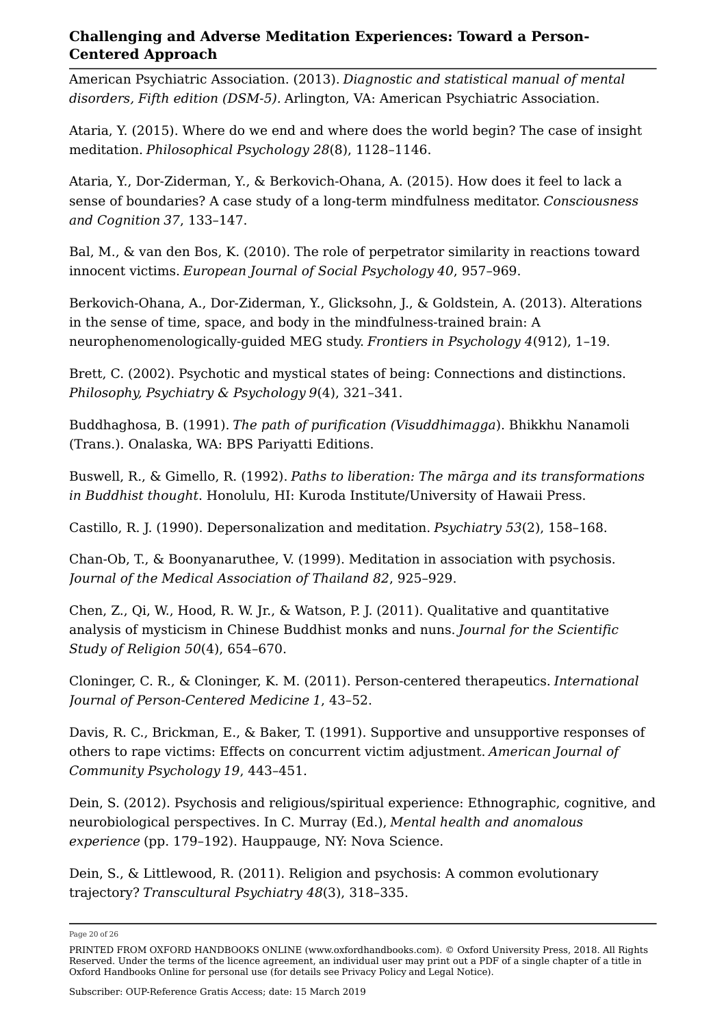American Psychiatric Association. (2013). *Diagnostic and statistical manual of mental disorders, Fifth edition (DSM-5).* Arlington, VA: American Psychiatric Association.

Ataria, Y. (2015). Where do we end and where does the world begin? The case of insight meditation. *Philosophical Psychology 28*(8), 1128–1146.

Ataria, Y., Dor-Ziderman, Y., & Berkovich-Ohana, A. (2015). How does it feel to lack a sense of boundaries? A case study of a long-term mindfulness meditator. *Consciousness and Cognition 37*, 133–147.

Bal, M., & van den Bos, K. (2010). The role of perpetrator similarity in reactions toward innocent victims. *European Journal of Social Psychology 40*, 957–969.

Berkovich-Ohana, A., Dor-Ziderman, Y., Glicksohn, J., & Goldstein, A. (2013). Alterations in the sense of time, space, and body in the mindfulness-trained brain: A neurophenomenologically-guided MEG study. *Frontiers in Psychology 4*(912), 1–19.

Brett, C. (2002). Psychotic and mystical states of being: Connections and distinctions. *Philosophy, Psychiatry & Psychology 9*(4), 321–341.

Buddhaghosa, B. (1991). *The path of purification (Visuddhimagga*). Bhikkhu Nanamoli (Trans.). Onalaska, WA: BPS Pariyatti Editions.

Buswell, R., & Gimello, R. (1992). *Paths to liberation: The mārga and its transformations in Buddhist thought*. Honolulu, HI: Kuroda Institute/University of Hawaii Press.

Castillo, R. J. (1990). Depersonalization and meditation. *Psychiatry 53*(2), 158–168.

Chan-Ob, T., & Boonyanaruthee, V. (1999). Meditation in association with psychosis. *Journal of the Medical Association of Thailand 82*, 925–929.

Chen, Z., Qi, W., Hood, R. W. Jr., & Watson, P. J. (2011). Qualitative and quantitative analysis of mysticism in Chinese Buddhist monks and nuns. *Journal for the Scientific Study of Religion 50*(4), 654–670.

Cloninger, C. R., & Cloninger, K. M. (2011). Person-centered therapeutics. *International Journal of Person-Centered Medicine 1*, 43–52.

Davis, R. C., Brickman, E., & Baker, T. (1991). Supportive and unsupportive responses of others to rape victims: Effects on concurrent victim adjustment. *American Journal of Community Psychology 19*, 443–451.

Dein, S. (2012). Psychosis and religious/spiritual experience: Ethnographic, cognitive, and neurobiological perspectives. In C. Murray (Ed.), *Mental health and anomalous experience* (pp. 179–192). Hauppauge, NY: Nova Science.

Dein, S., & Littlewood, R. (2011). Religion and psychosis: A common evolutionary trajectory? *Transcultural Psychiatry 48*(3), 318–335.

Page 20 of 26

Subscriber: OUP-Reference Gratis Access; date: 15 March 2019

PRINTED FROM OXFORD HANDBOOKS ONLINE (www.oxfordhandbooks.com). © Oxford University Press, 2018. All Rights Reserved. Under the terms of the licence agreement, an individual user may print out a PDF of a single chapter of a title in Oxford Handbooks Online for personal use (for details see Privacy Policy and Legal Notice).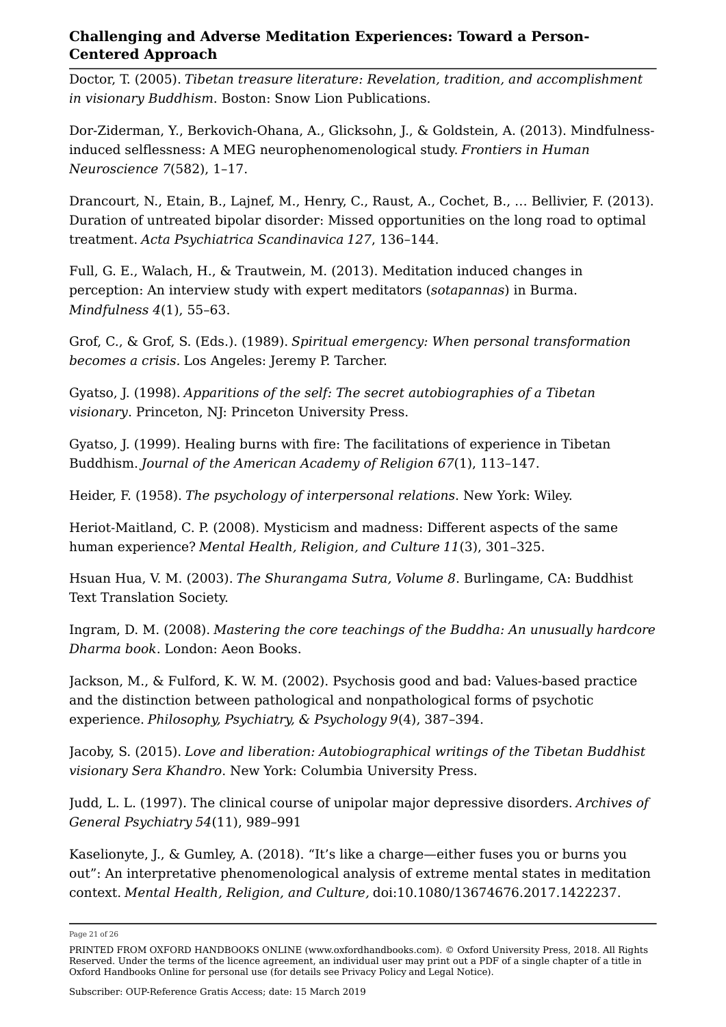Doctor, T. (2005). *Tibetan treasure literature: Revelation, tradition, and accomplishment in visionary Buddhism*. Boston: Snow Lion Publications.

Dor-Ziderman, Y., Berkovich-Ohana, A., Glicksohn, J., & Goldstein, A. (2013). Mindfulnessinduced selflessness: A MEG neurophenomenological study. *Frontiers in Human Neuroscience 7*(582), 1–17.

Drancourt, N., Etain, B., Lajnef, M., Henry, C., Raust, A., Cochet, B., … Bellivier, F. (2013). Duration of untreated bipolar disorder: Missed opportunities on the long road to optimal treatment. *Acta Psychiatrica Scandinavica 127*, 136–144.

Full, G. E., Walach, H., & Trautwein, M. (2013). Meditation induced changes in perception: An interview study with expert meditators (*sotapannas*) in Burma. *Mindfulness 4*(1), 55–63.

Grof, C., & Grof, S. (Eds.). (1989). *Spiritual emergency: When personal transformation becomes a crisis.* Los Angeles: Jeremy P. Tarcher.

Gyatso, J. (1998). *Apparitions of the self: The secret autobiographies of a Tibetan visionary*. Princeton, NJ: Princeton University Press.

Gyatso, J. (1999). Healing burns with fire: The facilitations of experience in Tibetan Buddhism. *Journal of the American Academy of Religion 67*(1), 113–147.

Heider, F. (1958). *The psychology of interpersonal relations*. New York: Wiley.

Heriot-Maitland, C. P. (2008). Mysticism and madness: Different aspects of the same human experience? *Mental Health, Religion, and Culture 11*(3), 301–325.

Hsuan Hua, V. M. (2003). *The Shurangama Sutra, Volume 8*. Burlingame, CA: Buddhist Text Translation Society.

Ingram, D. M. (2008). *Mastering the core teachings of the Buddha: An unusually hardcore Dharma book*. London: Aeon Books.

Jackson, M., & Fulford, K. W. M. (2002). Psychosis good and bad: Values-based practice and the distinction between pathological and nonpathological forms of psychotic experience. *Philosophy, Psychiatry, & Psychology 9*(4), 387–394.

Jacoby, S. (2015). *Love and liberation: Autobiographical writings of the Tibetan Buddhist visionary Sera Khandro*. New York: Columbia University Press.

Judd, L. L. (1997). The clinical course of unipolar major depressive disorders. *Archives of General Psychiatry 54*(11), 989–991

Kaselionyte, J., & Gumley, A. (2018). "It's like a charge—either fuses you or burns you out": An interpretative phenomenological analysis of extreme mental states in meditation context. *Mental Health, Religion, and Culture,* doi:10.1080/13674676.2017.1422237.

Page 21 of 26

PRINTED FROM OXFORD HANDBOOKS ONLINE (www.oxfordhandbooks.com). © Oxford University Press, 2018. All Rights Reserved. Under the terms of the licence agreement, an individual user may print out a PDF of a single chapter of a title in Oxford Handbooks Online for personal use (for details see Privacy Policy and Legal Notice).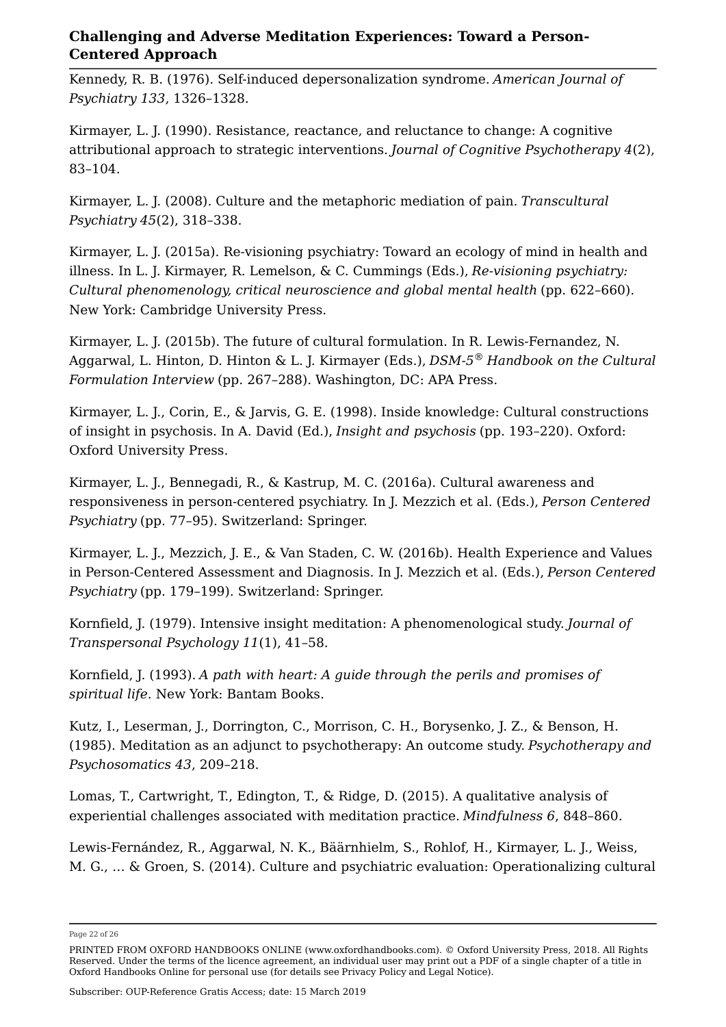Kennedy, R. B. (1976). Self-induced depersonalization syndrome. *American Journal of Psychiatry 133*, 1326–1328.

Kirmayer, L. J. (1990). Resistance, reactance, and reluctance to change: A cognitive attributional approach to strategic interventions. *Journal of Cognitive Psychotherapy 4*(2), 83–104.

Kirmayer, L. J. (2008). Culture and the metaphoric mediation of pain. *Transcultural Psychiatry 45*(2), 318–338.

Kirmayer, L. J. (2015a). Re-visioning psychiatry: Toward an ecology of mind in health and illness. In L. J. Kirmayer, R. Lemelson, & C. Cummings (Eds.), *Re-visioning psychiatry: Cultural phenomenology, critical neuroscience and global mental health* (pp. 622–660). New York: Cambridge University Press.

Kirmayer, L. J. (2015b). The future of cultural formulation. In R. Lewis-Fernandez, N. Aggarwal, L. Hinton, D. Hinton & L. J. Kirmayer (Eds.), *DSM-5 Handbook on the Cultural ® Formulation Interview* (pp. 267–288). Washington, DC: APA Press.

Kirmayer, L. J., Corin, E., & Jarvis, G. E. (1998). Inside knowledge: Cultural constructions of insight in psychosis. In A. David (Ed.), *Insight and psychosis* (pp. 193–220). Oxford: Oxford University Press.

Kirmayer, L. J., Bennegadi, R., & Kastrup, M. C. (2016a). Cultural awareness and responsiveness in person-centered psychiatry. In J. Mezzich et al. (Eds.), *Person Centered Psychiatry* (pp. 77–95). Switzerland: Springer.

Kirmayer, L. J., Mezzich, J. E., & Van Staden, C. W. (2016b). Health Experience and Values in Person-Centered Assessment and Diagnosis. In J. Mezzich et al. (Eds.), *Person Centered Psychiatry* (pp. 179–199). Switzerland: Springer.

Kornfield, J. (1979). Intensive insight meditation: A phenomenological study. *Journal of Transpersonal Psychology 11*(1), 41–58.

Kornfield, J. (1993). *A path with heart: A guide through the perils and promises of spiritual life*. New York: Bantam Books.

Kutz, I., Leserman, J., Dorrington, C., Morrison, C. H., Borysenko, J. Z., & Benson, H. (1985). Meditation as an adjunct to psychotherapy: An outcome study. *Psychotherapy and Psychosomatics 43*, 209–218.

Lomas, T., Cartwright, T., Edington, T., & Ridge, D. (2015). A qualitative analysis of experiential challenges associated with meditation practice. *Mindfulness 6*, 848–860.

Lewis-Fernández, R., Aggarwal, N. K., Bäärnhielm, S., Rohlof, H., Kirmayer, L. J., Weiss, M. G., … & Groen, S. (2014). Culture and psychiatric evaluation: Operationalizing cultural

Page 22 of 26

PRINTED FROM OXFORD HANDBOOKS ONLINE (www.oxfordhandbooks.com). © Oxford University Press, 2018. All Rights Reserved. Under the terms of the licence agreement, an individual user may print out a PDF of a single chapter of a title in Oxford Handbooks Online for personal use (for details see Privacy Policy and Legal Notice).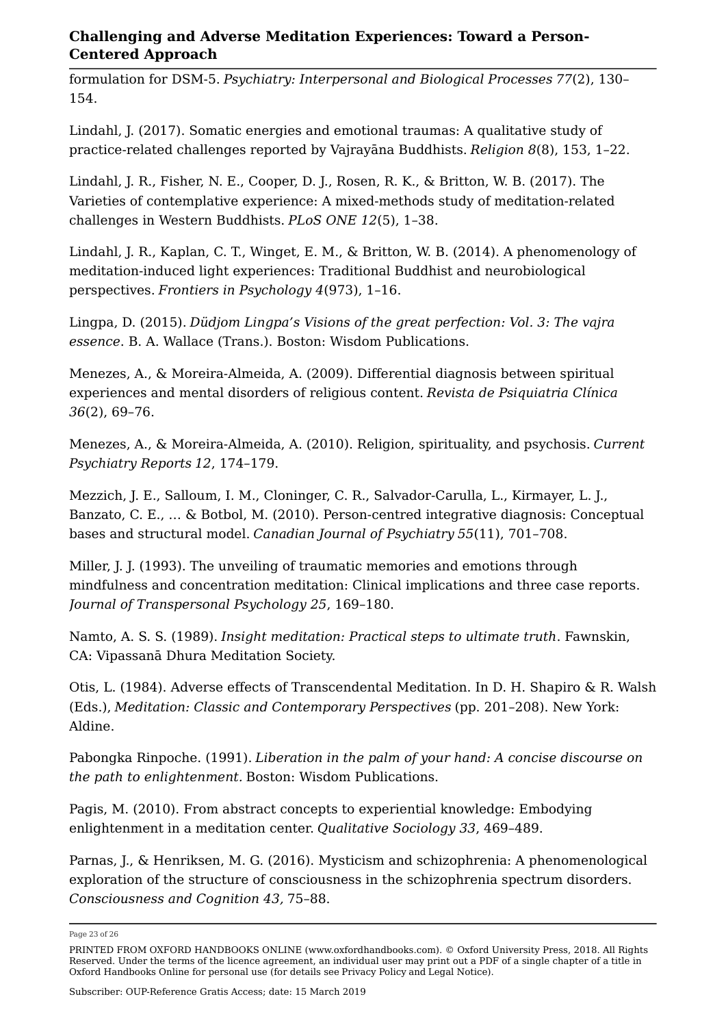formulation for DSM-5. *Psychiatry: Interpersonal and Biological Processes 77*(2), 130– 154.

Lindahl, J. (2017). Somatic energies and emotional traumas: A qualitative study of practice-related challenges reported by Vajrayāna Buddhists. *Religion 8*(8), 153, 1–22.

Lindahl, J. R., Fisher, N. E., Cooper, D. J., Rosen, R. K., & Britton, W. B. (2017). The Varieties of contemplative experience: A mixed-methods study of meditation-related challenges in Western Buddhists. *PLoS ONE 12*(5), 1–38.

Lindahl, J. R., Kaplan, C. T., Winget, E. M., & Britton, W. B. (2014). A phenomenology of meditation-induced light experiences: Traditional Buddhist and neurobiological perspectives. *Frontiers in Psychology 4*(973), 1–16.

Lingpa, D. (2015). *Düdjom Lingpa's Visions of the great perfection: Vol. 3: The vajra essence*. B. A. Wallace (Trans.). Boston: Wisdom Publications.

Menezes, A., & Moreira-Almeida, A. (2009). Differential diagnosis between spiritual experiences and mental disorders of religious content. *Revista de Psiquiatria Clínica 36*(2), 69–76.

Menezes, A., & Moreira-Almeida, A. (2010). Religion, spirituality, and psychosis. *Current Psychiatry Reports 12*, 174–179.

Mezzich, J. E., Salloum, I. M., Cloninger, C. R., Salvador-Carulla, L., Kirmayer, L. J., Banzato, C. E., … & Botbol, M. (2010). Person-centred integrative diagnosis: Conceptual bases and structural model. *Canadian Journal of Psychiatry 55*(11), 701–708.

Miller, J. J. (1993). The unveiling of traumatic memories and emotions through mindfulness and concentration meditation: Clinical implications and three case reports. *Journal of Transpersonal Psychology 25*, 169–180.

Namto, A. S. S. (1989). *Insight meditation: Practical steps to ultimate truth*. Fawnskin, CA: Vipassanā Dhura Meditation Society.

Otis, L. (1984). Adverse effects of Transcendental Meditation. In D. H. Shapiro & R. Walsh (Eds.), *Meditation: Classic and Contemporary Perspectives* (pp. 201–208). New York: Aldine.

Pabongka Rinpoche. (1991). *Liberation in the palm of your hand: A concise discourse on the path to enlightenment.* Boston: Wisdom Publications.

Pagis, M. (2010). From abstract concepts to experiential knowledge: Embodying enlightenment in a meditation center. *Qualitative Sociology 33*, 469–489.

Parnas, J., & Henriksen, M. G. (2016). Mysticism and schizophrenia: A phenomenological exploration of the structure of consciousness in the schizophrenia spectrum disorders. *Consciousness and Cognition 43,* 75–88.

Page 23 of 26

PRINTED FROM OXFORD HANDBOOKS ONLINE (www.oxfordhandbooks.com). © Oxford University Press, 2018. All Rights Reserved. Under the terms of the licence agreement, an individual user may print out a PDF of a single chapter of a title in Oxford Handbooks Online for personal use (for details see Privacy Policy and Legal Notice).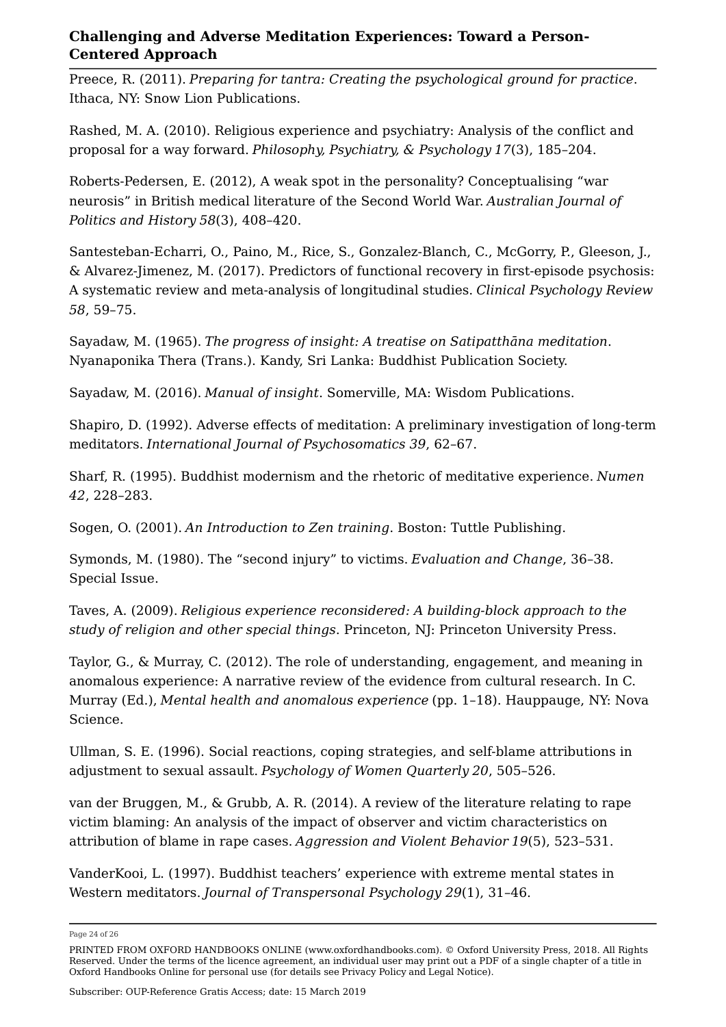Preece, R. (2011). *Preparing for tantra: Creating the psychological ground for practice*. Ithaca, NY: Snow Lion Publications.

Rashed, M. A. (2010). Religious experience and psychiatry: Analysis of the conflict and proposal for a way forward. *Philosophy, Psychiatry, & Psychology 17*(3), 185–204.

Roberts-Pedersen, E. (2012), A weak spot in the personality? Conceptualising "war neurosis" in British medical literature of the Second World War. *Australian Journal of Politics and History 58*(3), 408–420.

Santesteban-Echarri, O., Paino, M., Rice, S., Gonzalez-Blanch, C., McGorry, P., Gleeson, J., & Alvarez-Jimenez, M. (2017). Predictors of functional recovery in first-episode psychosis: A systematic review and meta-analysis of longitudinal studies. *Clinical Psychology Review 58*, 59–75.

Sayadaw, M. (1965). *The progress of insight: A treatise on Satipatthāna meditation*. Nyanaponika Thera (Trans.). Kandy, Sri Lanka: Buddhist Publication Society.

Sayadaw, M. (2016). *Manual of insight*. Somerville, MA: Wisdom Publications.

Shapiro, D. (1992). Adverse effects of meditation: A preliminary investigation of long-term meditators. *International Journal of Psychosomatics 39*, 62–67.

Sharf, R. (1995). Buddhist modernism and the rhetoric of meditative experience. *Numen 42*, 228–283.

Sogen, O. (2001). *An Introduction to Zen training*. Boston: Tuttle Publishing.

Symonds, M. (1980). The "second injury" to victims. *Evaluation and Change*, 36–38. Special Issue.

Taves, A. (2009). *Religious experience reconsidered: A building-block approach to the study of religion and other special things*. Princeton, NJ: Princeton University Press.

Taylor, G., & Murray, C. (2012). The role of understanding, engagement, and meaning in anomalous experience: A narrative review of the evidence from cultural research. In C. Murray (Ed.), *Mental health and anomalous experience* (pp. 1–18). Hauppauge, NY: Nova Science.

Ullman, S. E. (1996). Social reactions, coping strategies, and self-blame attributions in adjustment to sexual assault. *Psychology of Women Quarterly 20*, 505–526.

van der Bruggen, M., & Grubb, A. R. (2014). A review of the literature relating to rape victim blaming: An analysis of the impact of observer and victim characteristics on attribution of blame in rape cases. *Aggression and Violent Behavior 19*(5), 523–531.

VanderKooi, L. (1997). Buddhist teachers' experience with extreme mental states in Western meditators. *Journal of Transpersonal Psychology 29*(1), 31–46.

Page 24 of 26

PRINTED FROM OXFORD HANDBOOKS ONLINE (www.oxfordhandbooks.com). © Oxford University Press, 2018. All Rights Reserved. Under the terms of the licence agreement, an individual user may print out a PDF of a single chapter of a title in Oxford Handbooks Online for personal use (for details see Privacy Policy and Legal Notice).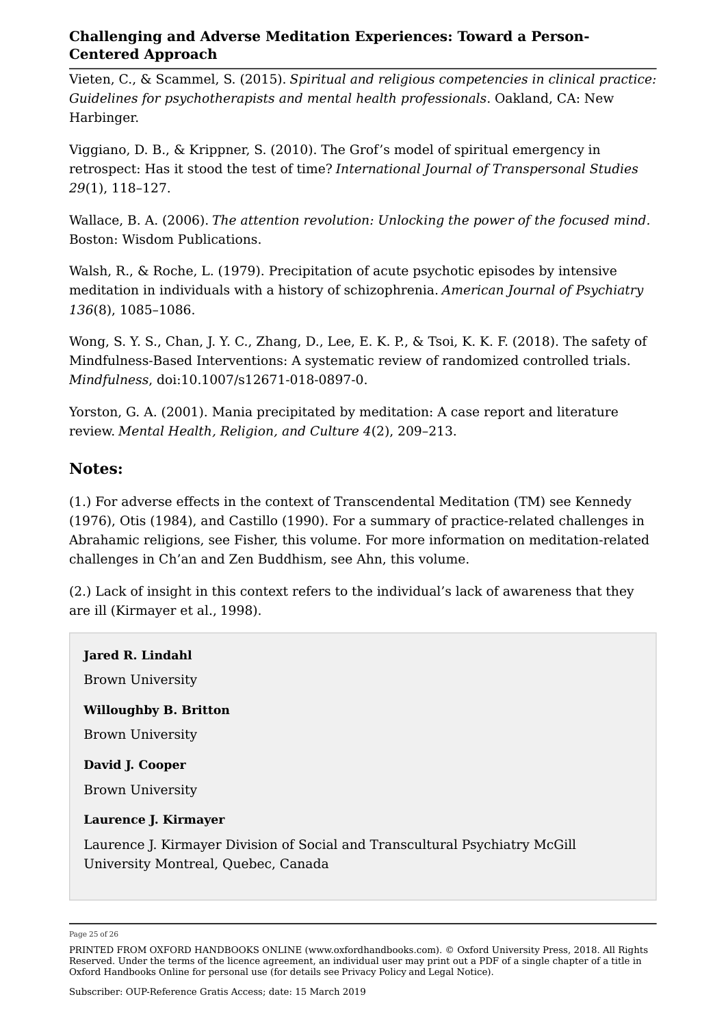Vieten, C., & Scammel, S. (2015). *Spiritual and religious competencies in clinical practice: Guidelines for psychotherapists and mental health professionals*. Oakland, CA: New Harbinger.

Viggiano, D. B., & Krippner, S. (2010). The Grof's model of spiritual emergency in retrospect: Has it stood the test of time? *International Journal of Transpersonal Studies 29*(1), 118–127.

Wallace, B. A. (2006). *The attention revolution: Unlocking the power of the focused mind.* Boston: Wisdom Publications.

Walsh, R., & Roche, L. (1979). Precipitation of acute psychotic episodes by intensive meditation in individuals with a history of schizophrenia. *American Journal of Psychiatry 136*(8), 1085–1086.

Wong, S. Y. S., Chan, J. Y. C., Zhang, D., Lee, E. K. P., & Tsoi, K. K. F. (2018). The safety of Mindfulness-Based Interventions: A systematic review of randomized controlled trials. *Mindfulness*, doi:10.1007/s12671-018-0897-0.

Yorston, G. A. (2001). Mania precipitated by meditation: A case report and literature review. *Mental Health, Religion, and Culture 4*(2), 209–213.

### **Notes:**

(1.) For adverse effects in the context of Transcendental Meditation (TM) see Kennedy (1976), Otis (1984), and Castillo (1990). For a summary of practice-related challenges in Abrahamic religions, see Fisher, this volume. For more information on meditation-related challenges in Ch'an and Zen Buddhism, see Ahn, this volume.

(2.) Lack of insight in this context refers to the individual's lack of awareness that they are ill (Kirmayer et al., 1998).

# **Jared R. Lindahl** Brown University **Willoughby B. Britton** Brown University **David J. Cooper** Brown University **Laurence J. Kirmayer** Laurence J. Kirmayer Division of Social and Transcultural Psychiatry McGill University Montreal, Quebec, Canada

Page 25 of 26

PRINTED FROM OXFORD HANDBOOKS ONLINE (www.oxfordhandbooks.com). © Oxford University Press, 2018. All Rights Reserved. Under the terms of the licence agreement, an individual user may print out a PDF of a single chapter of a title in Oxford Handbooks Online for personal use (for details see Privacy Policy and Legal Notice).